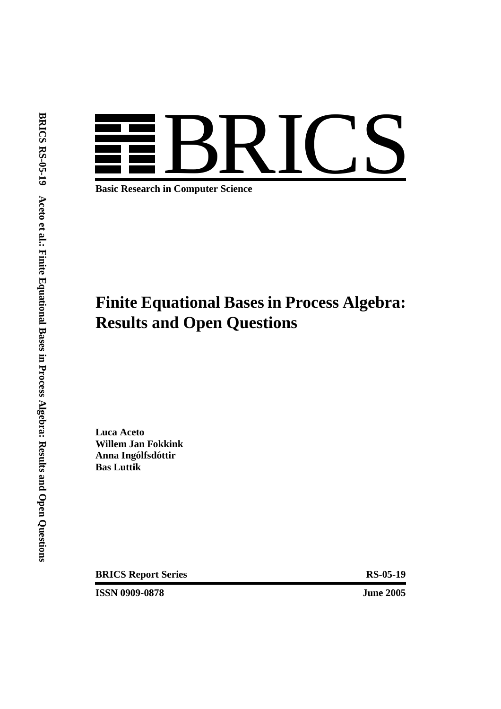# BRICS

**Basic Research in Computer Science**

# **Finite Equational Bases in Process Algebra: Results and Open Questions**

**Luca Aceto Willem Jan Fokkink**  $A$ nna Ingólfsdóttir **Bas Luttik**

**BRICS Report Series** RS-05-19

**ISSN 0909-0878 June 2005**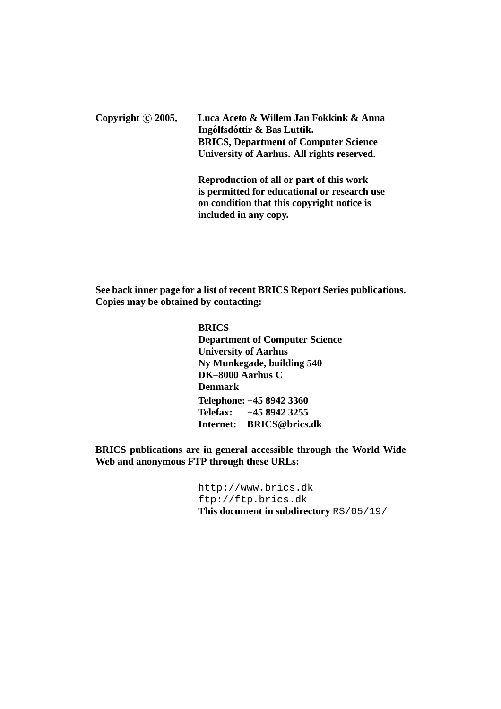Copyright © 2005, Luca Aceto & Willem Jan Fokkink & Anna **Ingólfsdóttir & Bas Luttik. BRICS, Department of Computer Science University of Aarhus. All rights reserved.**

> **Reproduction of all or part of this work is permitted for educational or research use on condition that this copyright notice is included in any copy.**

**See back inner page for a list of recent BRICS Report Series publications. Copies may be obtained by contacting:**

> **BRICS Department of Computer Science University of Aarhus Ny Munkegade, building 540 DK–8000 Aarhus C Denmark Telephone: +45 8942 3360 Telefax: +45 8942 3255 Internet: BRICS@brics.dk**

**BRICS publications are in general accessible through the World Wide Web and anonymous FTP through these URLs:**

> http://www.brics.dk ftp://ftp.brics.dk **This document in subdirectory** RS/05/19/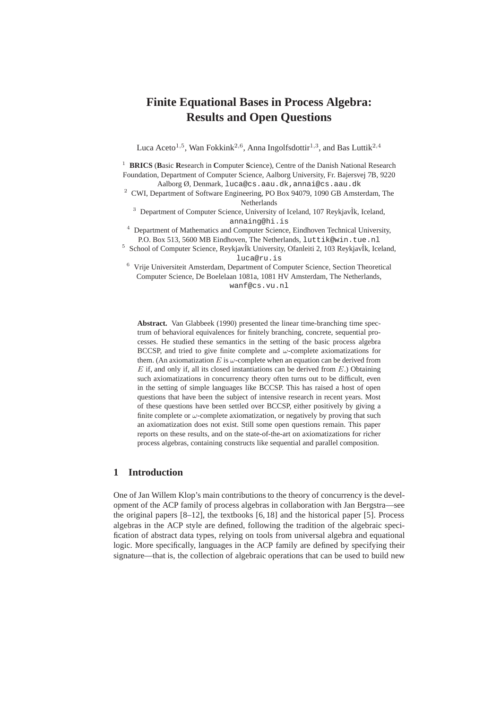# **Finite Equational Bases in Process Algebra: Results and Open Questions**

Luca Aceto<sup>1,5</sup>, Wan Fokkink<sup>2,6</sup>, Anna Ingolfsdottir<sup>1,3</sup>, and Bas Luttik<sup>2,4</sup>

<sup>1</sup> **BRICS** (Basic Research in Computer Science), Centre of the Danish National Research Foundation, Department of Computer Science, Aalborg University, Fr. Bajersvej 7B, 9220 Aalborg Ø, Denmark, luca@cs.aau.dk,annai@cs.aau.dk

<sup>2</sup> CWI, Department of Software Engineering, PO Box 94079, 1090 GB Amsterdam, The Netherlands

 $3$  Department of Computer Science, University of Iceland, 107 ReykjavÌk, Iceland, annaing@hi.is

<sup>4</sup> Department of Mathematics and Computer Science, Eindhoven Technical University, P.O. Box 513, 5600 MB Eindhoven, The Netherlands, luttik@win.tue.nl

<sup>5</sup> School of Computer Science, ReykjavÌk University, Ofanleiti 2, 103 ReykjavÌk, Iceland, luca@ru.is

 $6$  Vrije Universiteit Amsterdam, Department of Computer Science, Section Theoretical Computer Science, De Boelelaan 1081a, 1081 HV Amsterdam, The Netherlands, wanf@cs.vu.nl

**Abstract.** Van Glabbeek (1990) presented the linear time-branching time spectrum of behavioral equivalences for finitely branching, concrete, sequential processes. He studied these semantics in the setting of the basic process algebra BCCSP, and tried to give finite complete and  $\omega$ -complete axiomatizations for them. (An axiomatization  $E$  is  $\omega$ -complete when an equation can be derived from  $E$  if, and only if, all its closed instantiations can be derived from  $E$ .) Obtaining such axiomatizations in concurrency theory often turns out to be difficult, even in the setting of simple languages like BCCSP. This has raised a host of open questions that have been the subject of intensive research in recent years. Most of these questions have been settled over BCCSP, either positively by giving a finite complete or  $\omega$ -complete axiomatization, or negatively by proving that such an axiomatization does not exist. Still some open questions remain. This paper reports on these results, and on the state-of-the-art on axiomatizations for richer process algebras, containing constructs like sequential and parallel composition.

### **1 Introduction**

One of Jan Willem Klop's main contributions to the theory of concurrency is the development of the ACP family of process algebras in collaboration with Jan Bergstra—see the original papers [8–12], the textbooks [6, 18] and the historical paper [5]. Process algebras in the ACP style are defined, following the tradition of the algebraic specification of abstract data types, relying on tools from universal algebra and equational logic. More specifically, languages in the ACP family are defined by specifying their signature—that is, the collection of algebraic operations that can be used to build new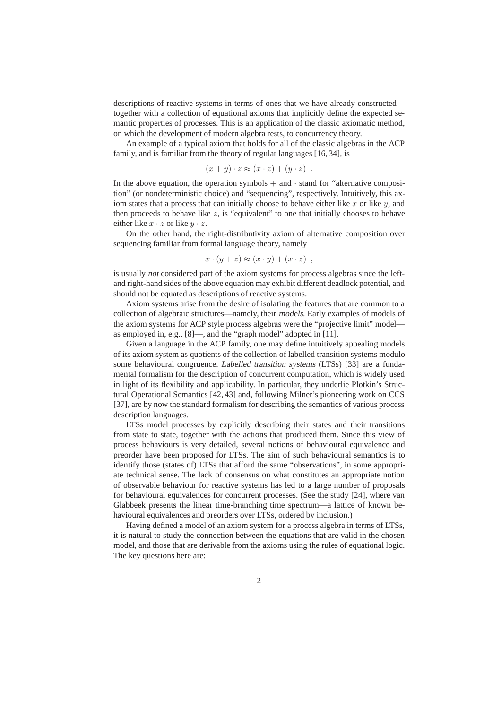descriptions of reactive systems in terms of ones that we have already constructed together with a collection of equational axioms that implicitly define the expected semantic properties of processes. This is an application of the classic axiomatic method, on which the development of modern algebra rests, to concurrency theory.

An example of a typical axiom that holds for all of the classic algebras in the ACP family, and is familiar from the theory of regular languages [16, 34], is

$$
(x + y) \cdot z \approx (x \cdot z) + (y \cdot z) .
$$

In the above equation, the operation symbols  $+$  and  $\cdot$  stand for "alternative composition" (or nondeterministic choice) and "sequencing", respectively. Intuitively, this axiom states that a process that can initially choose to behave either like  $x$  or like  $y$ , and then proceeds to behave like  $z$ , is "equivalent" to one that initially chooses to behave either like  $x \cdot z$  or like  $y \cdot z$ .

On the other hand, the right-distributivity axiom of alternative composition over sequencing familiar from formal language theory, namely

$$
x\cdot (y+z)\approx (x\cdot y)+(x\cdot z) ,
$$

is usually not considered part of the axiom systems for process algebras since the leftand right-hand sides of the above equation may exhibit different deadlock potential, and should not be equated as descriptions of reactive systems.

Axiom systems arise from the desire of isolating the features that are common to a collection of algebraic structures—namely, their models. Early examples of models of the axiom systems for ACP style process algebras were the "projective limit" model as employed in, e.g., [8]—, and the "graph model" adopted in [11].

Given a language in the ACP family, one may define intuitively appealing models of its axiom system as quotients of the collection of labelled transition systems modulo some behavioural congruence. Labelled transition systems (LTSs) [33] are a fundamental formalism for the description of concurrent computation, which is widely used in light of its flexibility and applicability. In particular, they underlie Plotkin's Structural Operational Semantics [42, 43] and, following Milner's pioneering work on CCS [37], are by now the standard formalism for describing the semantics of various process description languages.

LTSs model processes by explicitly describing their states and their transitions from state to state, together with the actions that produced them. Since this view of process behaviours is very detailed, several notions of behavioural equivalence and preorder have been proposed for LTSs. The aim of such behavioural semantics is to identify those (states of) LTSs that afford the same "observations", in some appropriate technical sense. The lack of consensus on what constitutes an appropriate notion of observable behaviour for reactive systems has led to a large number of proposals for behavioural equivalences for concurrent processes. (See the study [24], where van Glabbeek presents the linear time-branching time spectrum—a lattice of known behavioural equivalences and preorders over LTSs, ordered by inclusion.)

Having defined a model of an axiom system for a process algebra in terms of LTSs, it is natural to study the connection between the equations that are valid in the chosen model, and those that are derivable from the axioms using the rules of equational logic. The key questions here are: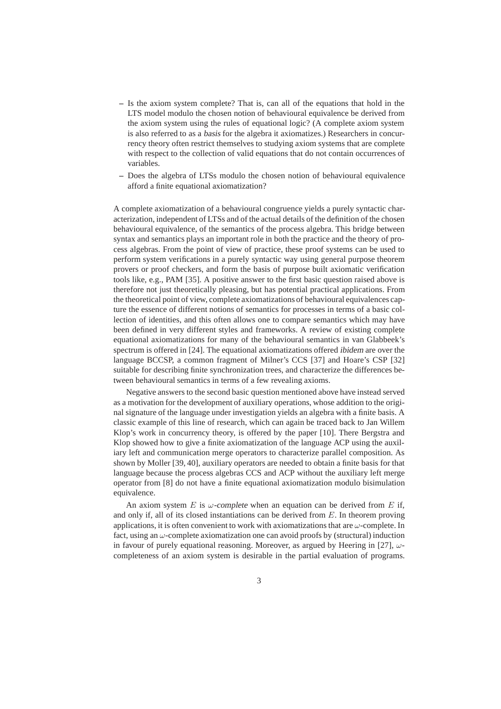- **–** Is the axiom system complete? That is, can all of the equations that hold in the LTS model modulo the chosen notion of behavioural equivalence be derived from the axiom system using the rules of equational logic? (A complete axiom system is also referred to as a basis for the algebra it axiomatizes.) Researchers in concurrency theory often restrict themselves to studying axiom systems that are complete with respect to the collection of valid equations that do not contain occurrences of variables.
- **–** Does the algebra of LTSs modulo the chosen notion of behavioural equivalence afford a finite equational axiomatization?

A complete axiomatization of a behavioural congruence yields a purely syntactic characterization, independent of LTSs and of the actual details of the definition of the chosen behavioural equivalence, of the semantics of the process algebra. This bridge between syntax and semantics plays an important role in both the practice and the theory of process algebras. From the point of view of practice, these proof systems can be used to perform system verifications in a purely syntactic way using general purpose theorem provers or proof checkers, and form the basis of purpose built axiomatic verification tools like, e.g., PAM [35]. A positive answer to the first basic question raised above is therefore not just theoretically pleasing, but has potential practical applications. From the theoretical point of view, complete axiomatizations of behavioural equivalences capture the essence of different notions of semantics for processes in terms of a basic collection of identities, and this often allows one to compare semantics which may have been defined in very different styles and frameworks. A review of existing complete equational axiomatizations for many of the behavioural semantics in van Glabbeek's spectrum is offered in [24]. The equational axiomatizations offered ibidem are over the language BCCSP, a common fragment of Milner's CCS [37] and Hoare's CSP [32] suitable for describing finite synchronization trees, and characterize the differences between behavioural semantics in terms of a few revealing axioms.

Negative answers to the second basic question mentioned above have instead served as a motivation for the development of auxiliary operations, whose addition to the original signature of the language under investigation yields an algebra with a finite basis. A classic example of this line of research, which can again be traced back to Jan Willem Klop's work in concurrency theory, is offered by the paper [10]. There Bergstra and Klop showed how to give a finite axiomatization of the language ACP using the auxiliary left and communication merge operators to characterize parallel composition. As shown by Moller [39, 40], auxiliary operators are needed to obtain a finite basis for that language because the process algebras CCS and ACP without the auxiliary left merge operator from [8] do not have a finite equational axiomatization modulo bisimulation equivalence.

An axiom system E is  $\omega$ -complete when an equation can be derived from E if, and only if, all of its closed instantiations can be derived from  $E$ . In theorem proving applications, it is often convenient to work with axiomatizations that are  $\omega$ -complete. In fact, using an  $\omega$ -complete axiomatization one can avoid proofs by (structural) induction in favour of purely equational reasoning. Moreover, as argued by Heering in [27],  $\omega$ completeness of an axiom system is desirable in the partial evaluation of programs.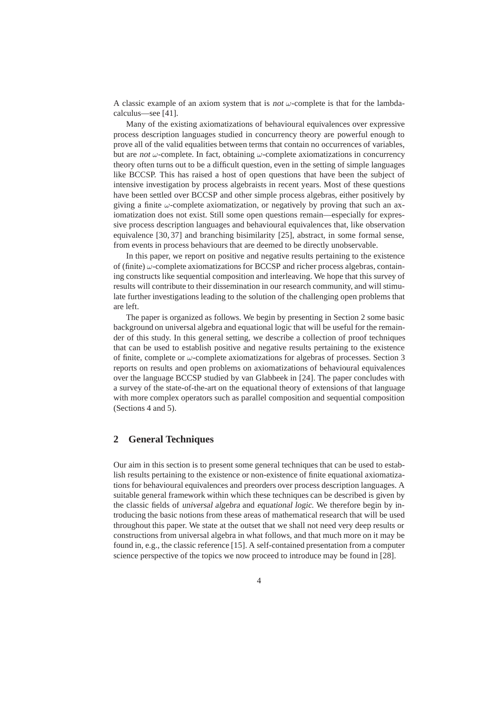A classic example of an axiom system that is not  $\omega$ -complete is that for the lambdacalculus—see [41].

Many of the existing axiomatizations of behavioural equivalences over expressive process description languages studied in concurrency theory are powerful enough to prove all of the valid equalities between terms that contain no occurrences of variables, but are not  $\omega$ -complete. In fact, obtaining  $\omega$ -complete axiomatizations in concurrency theory often turns out to be a difficult question, even in the setting of simple languages like BCCSP. This has raised a host of open questions that have been the subject of intensive investigation by process algebraists in recent years. Most of these questions have been settled over BCCSP and other simple process algebras, either positively by giving a finite  $\omega$ -complete axiomatization, or negatively by proving that such an axiomatization does not exist. Still some open questions remain—especially for expressive process description languages and behavioural equivalences that, like observation equivalence [30, 37] and branching bisimilarity [25], abstract, in some formal sense, from events in process behaviours that are deemed to be directly unobservable.

In this paper, we report on positive and negative results pertaining to the existence of (finite)  $\omega$ -complete axiomatizations for BCCSP and richer process algebras, containing constructs like sequential composition and interleaving. We hope that this survey of results will contribute to their dissemination in our research community, and will stimulate further investigations leading to the solution of the challenging open problems that are left.

The paper is organized as follows. We begin by presenting in Section 2 some basic background on universal algebra and equational logic that will be useful for the remainder of this study. In this general setting, we describe a collection of proof techniques that can be used to establish positive and negative results pertaining to the existence of finite, complete or  $\omega$ -complete axiomatizations for algebras of processes. Section 3 reports on results and open problems on axiomatizations of behavioural equivalences over the language BCCSP studied by van Glabbeek in [24]. The paper concludes with a survey of the state-of-the-art on the equational theory of extensions of that language with more complex operators such as parallel composition and sequential composition (Sections 4 and 5).

### **2 General Techniques**

Our aim in this section is to present some general techniques that can be used to establish results pertaining to the existence or non-existence of finite equational axiomatizations for behavioural equivalences and preorders over process description languages. A suitable general framework within which these techniques can be described is given by the classic fields of universal algebra and equational logic. We therefore begin by introducing the basic notions from these areas of mathematical research that will be used throughout this paper. We state at the outset that we shall not need very deep results or constructions from universal algebra in what follows, and that much more on it may be found in, e.g., the classic reference [15]. A self-contained presentation from a computer science perspective of the topics we now proceed to introduce may be found in [28].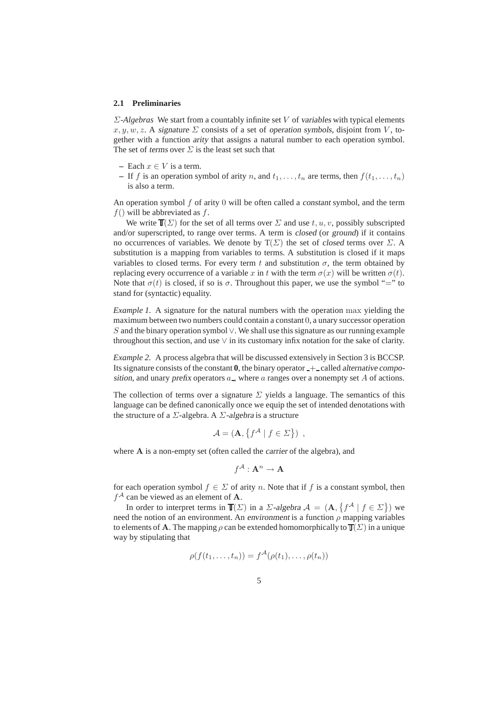### **2.1 Preliminaries**

Σ*-Algebras* We start from a countably infinite set V of variables with typical elements x, y, w, z. A signature  $\Sigma$  consists of a set of operation symbols, disjoint from V, together with a function arity that assigns a natural number to each operation symbol. The set of terms over  $\Sigma$  is the least set such that

- **–** Each x ∈ V is a term.
- **–** If f is an operation symbol of arity n, and  $t_1, \ldots, t_n$  are terms, then  $f(t_1, \ldots, t_n)$ is also a term.

An operation symbol  $f$  of arity 0 will be often called a constant symbol, and the term  $f()$  will be abbreviated as f.

We write  $\mathbb{T}(\Sigma)$  for the set of all terms over  $\Sigma$  and use t, u, v, possibly subscripted and/or superscripted, to range over terms. A term is closed (or ground) if it contains no occurrences of variables. We denote by  $T(\Sigma)$  the set of closed terms over  $\Sigma$ . A substitution is a mapping from variables to terms. A substitution is closed if it maps variables to closed terms. For every term t and substitution  $\sigma$ , the term obtained by replacing every occurrence of a variable x in t with the term  $\sigma(x)$  will be written  $\sigma(t)$ . Note that  $\sigma(t)$  is closed, if so is  $\sigma$ . Throughout this paper, we use the symbol "=" to stand for (syntactic) equality.

*Example 1.* A signature for the natural numbers with the operation max yielding the maximum between two numbers could contain a constant 0, a unary successor operation S and the binary operation symbol  $\vee$ . We shall use this signature as our running example throughout this section, and use  $\vee$  in its customary infix notation for the sake of clarity.

*Example 2.* A process algebra that will be discussed extensively in Section 3 is BCCSP. Its signature consists of the constant  $\mathbf{0}$ , the binary operator  $\div$  called alternative composition, and unary prefix operators  $a_{-}$ , where a ranges over a nonempty set A of actions.

The collection of terms over a signature  $\Sigma$  yields a language. The semantics of this language can be defined canonically once we equip the set of intended denotations with the structure of a  $\Sigma$ -algebra. A  $\Sigma$ -algebra is a structure

$$
\mathcal{A} = (\mathbf{A}, \{ f^{\mathcal{A}} \mid f \in \Sigma \}) ,
$$

where **A** is a non-empty set (often called the *carrier* of the algebra), and

$$
f^{\mathcal{A}}:\mathbf{A}^n\to \mathbf{A}
$$

for each operation symbol  $f \in \Sigma$  of arity n. Note that if f is a constant symbol, then  $f^{\mathcal{A}}$  can be viewed as an element of **A**.

In order to interpret terms in  $\mathbb{T}(\Sigma)$  in a  $\Sigma$ -algebra  $\mathcal{A} = (A, \{f^{\mathcal{A}} | f \in \Sigma\})$  we need the notion of an environment. An environment is a function  $\rho$  mapping variables to elements of **A**. The mapping  $\rho$  can be extended homomorphically to  $\mathbb{T}(\Sigma)$  in a unique way by stipulating that

$$
\rho(f(t_1,\ldots,t_n))=f^{\mathcal{A}}(\rho(t_1),\ldots,\rho(t_n))
$$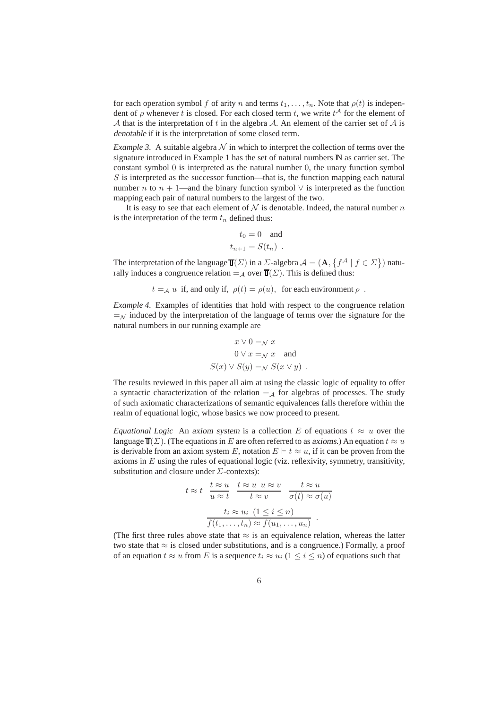for each operation symbol f of arity n and terms  $t_1,\ldots,t_n$ . Note that  $\rho(t)$  is independent of  $\rho$  whenever t is closed. For each closed term t, we write  $t^{\mathcal{A}}$  for the element of A that is the interpretation of t in the algebra A. An element of the carrier set of A is denotable if it is the interpretation of some closed term.

*Example 3.* A suitable algebra  $N$  in which to interpret the collection of terms over the signature introduced in Example 1 has the set of natural numbers IN as carrier set. The constant symbol  $\theta$  is interpreted as the natural number  $\theta$ , the unary function symbol  $S$  is interpreted as the successor function—that is, the function mapping each natural number *n* to  $n + 1$ —and the binary function symbol  $\vee$  is interpreted as the function mapping each pair of natural numbers to the largest of the two.

It is easy to see that each element of  $N$  is denotable. Indeed, the natural number n is the interpretation of the term  $t_n$  defined thus:

$$
t_0 = 0 \quad \text{and}
$$
  

$$
t_{n+1} = S(t_n) \enspace .
$$

The interpretation of the language  $\mathbb{T}(\Sigma)$  in a  $\Sigma$ -algebra  $\mathcal{A} = (\mathbf{A}, \{f^{\mathcal{A}} \mid f \in \Sigma\})$  naturally induces a congruence relation =  $_A$  over  $T(\Sigma)$ . This is defined thus:

$$
t=_\mathcal{A} u\,
$$
 if, and only if,  $\rho(t)=\rho(u),\,\,$  for each environment  $\rho\,$  .

*Example 4.* Examples of identities that hold with respect to the congruence relation  $=<sub>N</sub>$  induced by the interpretation of the language of terms over the signature for the natural numbers in our running example are

$$
x \lor 0 =_{\mathcal{N}} x
$$
  
 
$$
0 \lor x =_{\mathcal{N}} x \text{ and}
$$
  

$$
S(x) \lor S(y) =_{\mathcal{N}} S(x \lor y) .
$$

The results reviewed in this paper all aim at using the classic logic of equality to offer a syntactic characterization of the relation  $=$   $\mathcal{A}$  for algebras of processes. The study of such axiomatic characterizations of semantic equivalences falls therefore within the realm of equational logic, whose basics we now proceed to present.

*Equational Logic* An axiom system is a collection E of equations  $t \approx u$  over the language  $\mathbb{T}(\Sigma)$ . (The equations in E are often referred to as axioms.) An equation  $t \approx u$ is derivable from an axiom system E, notation  $E \vdash t \approx u$ , if it can be proven from the axioms in  $E$  using the rules of equational logic (viz. reflexivity, symmetry, transitivity, substitution and closure under  $\Sigma$ -contexts):

$$
t \approx t \quad \frac{t \approx u}{u \approx t} \quad \frac{t \approx u \quad u \approx v}{t \approx v} \quad \frac{t \approx u}{\sigma(t) \approx \sigma(u)}
$$

$$
\frac{t_i \approx u_i \quad (1 \leq i \leq n)}{f(t_1, \dots, t_n) \approx f(u_1, \dots, u_n)}.
$$

(The first three rules above state that  $\approx$  is an equivalence relation, whereas the latter two state that  $\approx$  is closed under substitutions, and is a congruence.) Formally, a proof of an equation  $t \approx u$  from E is a sequence  $t_i \approx u_i$  ( $1 \le i \le n$ ) of equations such that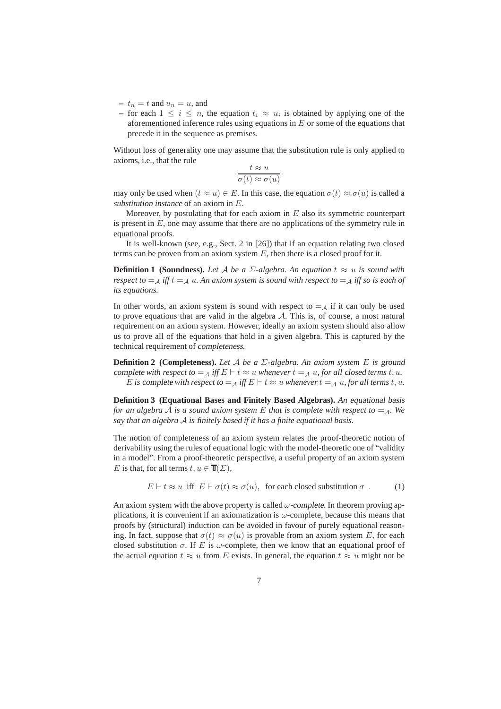- $t_n = t$  and  $u_n = u$ , and
- **–** for each  $1 ≤ i ≤ n$ , the equation  $t_i ≈ u_i$  is obtained by applying one of the aforementioned inference rules using equations in  $E$  or some of the equations that precede it in the sequence as premises.

Without loss of generality one may assume that the substitution rule is only applied to axioms, i.e., that the rule

$$
\frac{t \approx u}{\sigma(t) \approx \sigma(u)}
$$

may only be used when  $(t \approx u) \in E$ . In this case, the equation  $\sigma(t) \approx \sigma(u)$  is called a substitution instance of an axiom in E.

Moreover, by postulating that for each axiom in  $E$  also its symmetric counterpart is present in  $E$ , one may assume that there are no applications of the symmetry rule in equational proofs.

It is well-known (see, e.g., Sect. 2 in [26]) that if an equation relating two closed terms can be proven from an axiom system  $E$ , then there is a closed proof for it.

**Definition 1 (Soundness).** *Let* A *be a*  $\Sigma$ -algebra. An equation  $t \approx u$  is sound with *respect to*  $=$   $\mathcal{A}$  *iff*  $t =$   $\mathcal{A}$  *u. An axiom system is sound with respect to*  $=$   $\mathcal{A}$  *iff so is each of its equations.*

In other words, an axiom system is sound with respect to  $=_A$  if it can only be used to prove equations that are valid in the algebra  $A$ . This is, of course, a most natural requirement on an axiom system. However, ideally an axiom system should also allow us to prove all of the equations that hold in a given algebra. This is captured by the technical requirement of completeness.

**Definition 2 (Completeness).** *Let* A *be a* Σ*-algebra. An axiom system* E *is* ground complete *with respect to*  $=$   $\mathcal{A}$  *iff*  $E \vdash t \approx u$  *whenever*  $t =$   $\mathcal{A}$  *u, for all closed terms t, u.* E is complete with respect to  $=$   $_A$  iff  $E \vdash t \approx u$  whenever  $t =$   $_A u$ , for all terms  $t, u$ .

**Definition 3 (Equational Bases and Finitely Based Algebras).** *An* equational basis *for an algebra* A *is a sound axiom system* E *that is complete with respect to*  $=$  A. We *say that an algebra* A *is* finitely based *if it has a finite equational basis.*

The notion of completeness of an axiom system relates the proof-theoretic notion of derivability using the rules of equational logic with the model-theoretic one of "validity in a model". From a proof-theoretic perspective, a useful property of an axiom system E is that, for all terms  $t, u \in \mathbb{T}(\Sigma)$ ,

$$
E \vdash t \approx u \text{ iff } E \vdash \sigma(t) \approx \sigma(u), \text{ for each closed substitution } \sigma \tag{1}
$$

An axiom system with the above property is called  $\omega$ -complete. In theorem proving applications, it is convenient if an axiomatization is  $\omega$ -complete, because this means that proofs by (structural) induction can be avoided in favour of purely equational reasoning. In fact, suppose that  $\sigma(t) \approx \sigma(u)$  is provable from an axiom system E, for each closed substitution  $\sigma$ . If E is  $\omega$ -complete, then we know that an equational proof of the actual equation  $t \approx u$  from E exists. In general, the equation  $t \approx u$  might not be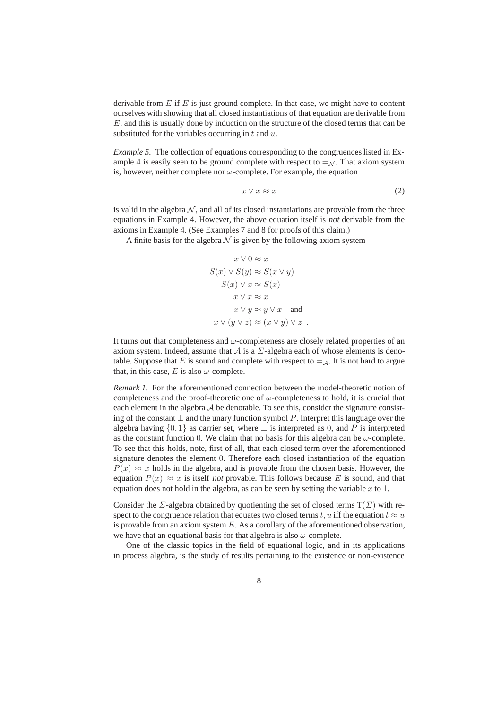derivable from  $E$  if  $E$  is just ground complete. In that case, we might have to content ourselves with showing that all closed instantiations of that equation are derivable from  $E$ , and this is usually done by induction on the structure of the closed terms that can be substituted for the variables occurring in  $t$  and  $u$ .

*Example 5.* The collection of equations corresponding to the congruences listed in Example 4 is easily seen to be ground complete with respect to  $=\mathcal{N}$ . That axiom system is, however, neither complete nor  $\omega$ -complete. For example, the equation

$$
x \lor x \approx x \tag{2}
$$

is valid in the algebra  $N$ , and all of its closed instantiations are provable from the three equations in Example 4. However, the above equation itself is not derivable from the axioms in Example 4. (See Examples 7 and 8 for proofs of this claim.)

A finite basis for the algebra  $\mathcal N$  is given by the following axiom system

$$
x \lor 0 \approx x
$$
  
\n
$$
S(x) \lor S(y) \approx S(x \lor y)
$$
  
\n
$$
S(x) \lor x \approx S(x)
$$
  
\n
$$
x \lor x \approx x
$$
  
\n
$$
x \lor y \approx y \lor x
$$
 and  
\n
$$
x \lor (y \lor z) \approx (x \lor y) \lor z
$$
.

It turns out that completeness and  $\omega$ -completeness are closely related properties of an axiom system. Indeed, assume that A is a  $\Sigma$ -algebra each of whose elements is denotable. Suppose that E is sound and complete with respect to  $=$  A. It is not hard to argue that, in this case, E is also  $\omega$ -complete.

*Remark 1.* For the aforementioned connection between the model-theoretic notion of completeness and the proof-theoretic one of  $\omega$ -completeness to hold, it is crucial that each element in the algebra  $A$  be denotable. To see this, consider the signature consisting of the constant  $\perp$  and the unary function symbol P. Interpret this language over the algebra having  $\{0, 1\}$  as carrier set, where  $\perp$  is interpreted as 0, and P is interpreted as the constant function 0. We claim that no basis for this algebra can be  $\omega$ -complete. To see that this holds, note, first of all, that each closed term over the aforementioned signature denotes the element 0. Therefore each closed instantiation of the equation  $P(x) \approx x$  holds in the algebra, and is provable from the chosen basis. However, the equation  $P(x) \approx x$  is itself not provable. This follows because E is sound, and that equation does not hold in the algebra, as can be seen by setting the variable  $x$  to 1.

Consider the  $\Sigma$ -algebra obtained by quotienting the set of closed terms  $T(\Sigma)$  with respect to the congruence relation that equates two closed terms t, u iff the equation  $t \approx u$ is provable from an axiom system  $E$ . As a corollary of the aforementioned observation, we have that an equational basis for that algebra is also  $\omega$ -complete.

One of the classic topics in the field of equational logic, and in its applications in process algebra, is the study of results pertaining to the existence or non-existence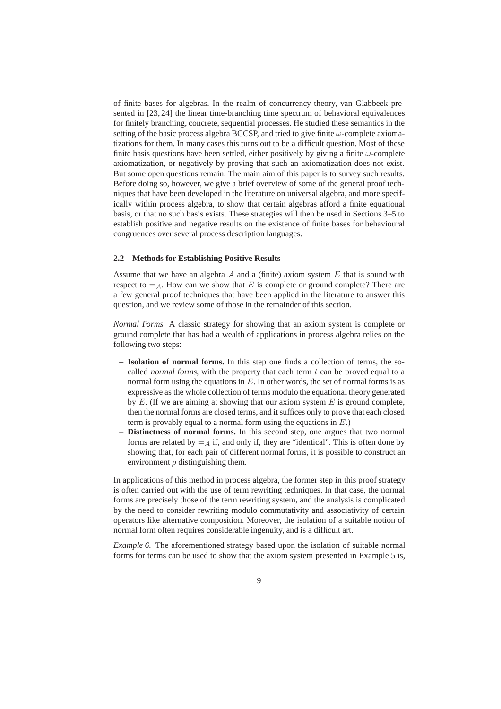of finite bases for algebras. In the realm of concurrency theory, van Glabbeek presented in [23, 24] the linear time-branching time spectrum of behavioral equivalences for finitely branching, concrete, sequential processes. He studied these semantics in the setting of the basic process algebra BCCSP, and tried to give finite  $\omega$ -complete axiomatizations for them. In many cases this turns out to be a difficult question. Most of these finite basis questions have been settled, either positively by giving a finite  $\omega$ -complete axiomatization, or negatively by proving that such an axiomatization does not exist. But some open questions remain. The main aim of this paper is to survey such results. Before doing so, however, we give a brief overview of some of the general proof techniques that have been developed in the literature on universal algebra, and more specifically within process algebra, to show that certain algebras afford a finite equational basis, or that no such basis exists. These strategies will then be used in Sections 3–5 to establish positive and negative results on the existence of finite bases for behavioural congruences over several process description languages.

### **2.2 Methods for Establishing Positive Results**

Assume that we have an algebra  $A$  and a (finite) axiom system  $E$  that is sound with respect to  $=$ <sub>A</sub>. How can we show that E is complete or ground complete? There are a few general proof techniques that have been applied in the literature to answer this question, and we review some of those in the remainder of this section.

*Normal Forms* A classic strategy for showing that an axiom system is complete or ground complete that has had a wealth of applications in process algebra relies on the following two steps:

- **Isolation of normal forms.** In this step one finds a collection of terms, the socalled normal forms, with the property that each term  $t$  can be proved equal to a normal form using the equations in  $E$ . In other words, the set of normal forms is as expressive as the whole collection of terms modulo the equational theory generated by  $E$ . (If we are aiming at showing that our axiom system  $E$  is ground complete, then the normal forms are closed terms, and it suffices only to prove that each closed term is provably equal to a normal form using the equations in  $E$ .)
- **Distinctness of normal forms.** In this second step, one argues that two normal forms are related by  $=$   $\mathcal{A}$  if, and only if, they are "identical". This is often done by showing that, for each pair of different normal forms, it is possible to construct an environment  $\rho$  distinguishing them.

In applications of this method in process algebra, the former step in this proof strategy is often carried out with the use of term rewriting techniques. In that case, the normal forms are precisely those of the term rewriting system, and the analysis is complicated by the need to consider rewriting modulo commutativity and associativity of certain operators like alternative composition. Moreover, the isolation of a suitable notion of normal form often requires considerable ingenuity, and is a difficult art.

*Example 6.* The aforementioned strategy based upon the isolation of suitable normal forms for terms can be used to show that the axiom system presented in Example 5 is,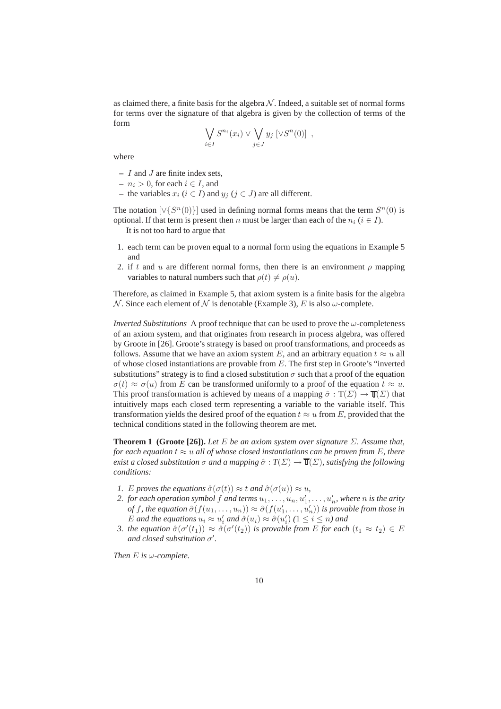as claimed there, a finite basis for the algebra  $\mathcal N$ . Indeed, a suitable set of normal forms for terms over the signature of that algebra is given by the collection of terms of the form

$$
\bigvee_{i\in I} S^{n_i}(x_i) \vee \bigvee_{j\in J} y_j \left[\vee S^n(0)\right] ,
$$

where

- **–** I and J are finite index sets,
- $n_i > 0$ , for each  $i \in I$ , and
- **−** the variables  $x_i$  ( $i \in I$ ) and  $y_j$  ( $j \in J$ ) are all different.

The notation  $[\sqrt{S^n(0)}]$  used in defining normal forms means that the term  $S^n(0)$  is optional. If that term is present then n must be larger than each of the  $n_i$  ( $i \in I$ ).

It is not too hard to argue that

- 1. each term can be proven equal to a normal form using the equations in Example 5 and
- 2. if t and u are different normal forms, then there is an environment  $\rho$  mapping variables to natural numbers such that  $\rho(t) \neq \rho(u)$ .

Therefore, as claimed in Example 5, that axiom system is a finite basis for the algebra N. Since each element of N is denotable (Example 3), E is also  $\omega$ -complete.

*Inverted Substitutions* A proof technique that can be used to prove the  $\omega$ -completeness of an axiom system, and that originates from research in process algebra, was offered by Groote in [26]. Groote's strategy is based on proof transformations, and proceeds as follows. Assume that we have an axiom system E, and an arbitrary equation  $t \approx u$  all of whose closed instantiations are provable from E. The first step in Groote's "inverted substitutions" strategy is to find a closed substitution  $\sigma$  such that a proof of the equation  $\sigma(t) \approx \sigma(u)$  from E can be transformed uniformly to a proof of the equation  $t \approx u$ . This proof transformation is achieved by means of a mapping  $\hat{\sigma} : T(\Sigma) \to \mathbb{T}(\Sigma)$  that intuitively maps each closed term representing a variable to the variable itself. This transformation yields the desired proof of the equation  $t \approx u$  from E, provided that the technical conditions stated in the following theorem are met.

**Theorem 1 (Groote [26]).** *Let*  $E$  *be an axiom system over signature*  $\Sigma$ *. Assume that, for each equation*  $t \approx u$  *all of whose closed instantiations can be proven from E, there exist a closed substitution*  $\sigma$  *and a mapping*  $\hat{\sigma}$  :  $T(\Sigma) \rightarrow T(\Sigma)$ *, satisfying the following conditions:*

- *1. E proves the equations*  $\hat{\sigma}(\sigma(t)) \approx t$  *and*  $\hat{\sigma}(\sigma(u)) \approx u$ *,*
- 2. for each operation symbol  $f$  and terms  $u_1, \ldots, u_n, u_1', \ldots, u_n'$ , where  $n$  is the arity *of* f, the equation  $\hat{\sigma}(f(u_1,...,u_n)) \approx \hat{\sigma}(f(u'_1,...,u'_n))$  *is provable from those in* E and the equations  $u_i \approx u'_i$  and  $\hat{\sigma}(u_i) \approx \hat{\sigma}(u'_i)$  ( $1 \leq i \leq n$ ) and
- *3. the equation*  $\hat{\sigma}(\sigma'(t_1)) \approx \hat{\sigma}(\sigma'(t_2))$  *is provable from* E *for each*  $(t_1 \approx t_2) \in E$  $\alpha$  *and closed substitution*  $\sigma'$ .

*Then* E *is* ω*-complete.*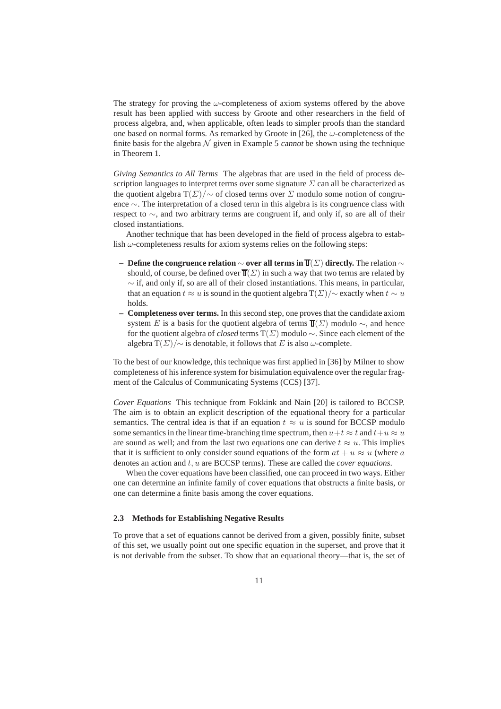The strategy for proving the  $\omega$ -completeness of axiom systems offered by the above result has been applied with success by Groote and other researchers in the field of process algebra, and, when applicable, often leads to simpler proofs than the standard one based on normal forms. As remarked by Groote in [26], the  $\omega$ -completeness of the finite basis for the algebra  $\mathcal N$  given in Example 5 cannot be shown using the technique in Theorem 1.

*Giving Semantics to All Terms* The algebras that are used in the field of process description languages to interpret terms over some signature  $\Sigma$  can all be characterized as the quotient algebra  $T(\Sigma)/\sim$  of closed terms over  $\Sigma$  modulo some notion of congruence ∼. The interpretation of a closed term in this algebra is its congruence class with respect to ∼, and two arbitrary terms are congruent if, and only if, so are all of their closed instantiations.

Another technique that has been developed in the field of process algebra to establish  $\omega$ -completeness results for axiom systems relies on the following steps:

- **Define the congruence relation** ∼ **over all terms in** (Σ) **directly.** The relation ∼ should, of course, be defined over  $\overline{J}(Z)$  in such a way that two terms are related by  $\sim$  if, and only if, so are all of their closed instantiations. This means, in particular, that an equation  $t \approx u$  is sound in the quotient algebra  $T(\Sigma)/\sim$  exactly when  $t \sim u$ holds.
- **Completeness over terms.** In this second step, one proves that the candidate axiom system E is a basis for the quotient algebra of terms  $\overline{\mathbb{T}}(\Sigma)$  modulo  $\sim$ , and hence for the quotient algebra of closed terms  $T(\Sigma)$  modulo  $\sim$ . Since each element of the algebra T( $\Sigma$ )/ $\sim$  is denotable, it follows that E is also  $\omega$ -complete.

To the best of our knowledge, this technique was first applied in [36] by Milner to show completeness of his inference system for bisimulation equivalence over the regular fragment of the Calculus of Communicating Systems (CCS) [37].

*Cover Equations* This technique from Fokkink and Nain [20] is tailored to BCCSP. The aim is to obtain an explicit description of the equational theory for a particular semantics. The central idea is that if an equation  $t \approx u$  is sound for BCCSP modulo some semantics in the linear time-branching time spectrum, then  $u+t \approx t$  and  $t+u \approx u$ are sound as well; and from the last two equations one can derive  $t \approx u$ . This implies that it is sufficient to only consider sound equations of the form  $at + u \approx u$  (where a denotes an action and t, u are BCCSP terms). These are called the *cover equations*.

When the cover equations have been classified, one can proceed in two ways. Either one can determine an infinite family of cover equations that obstructs a finite basis, or one can determine a finite basis among the cover equations.

### **2.3 Methods for Establishing Negative Results**

To prove that a set of equations cannot be derived from a given, possibly finite, subset of this set, we usually point out one specific equation in the superset, and prove that it is not derivable from the subset. To show that an equational theory—that is, the set of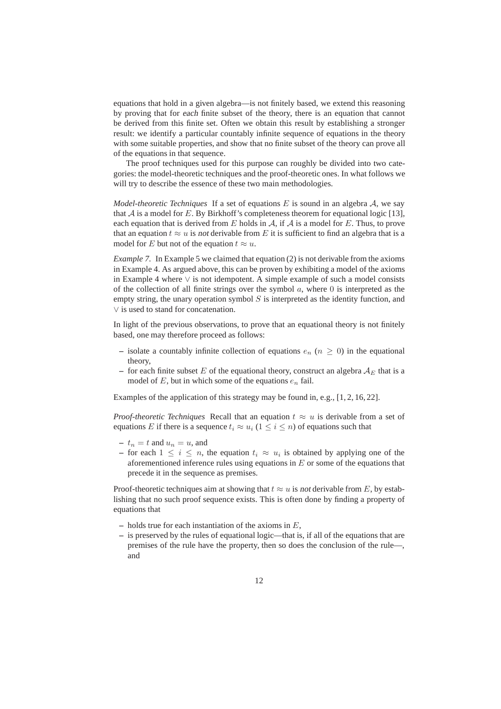equations that hold in a given algebra—is not finitely based, we extend this reasoning by proving that for each finite subset of the theory, there is an equation that cannot be derived from this finite set. Often we obtain this result by establishing a stronger result: we identify a particular countably infinite sequence of equations in the theory with some suitable properties, and show that no finite subset of the theory can prove all of the equations in that sequence.

The proof techniques used for this purpose can roughly be divided into two categories: the model-theoretic techniques and the proof-theoretic ones. In what follows we will try to describe the essence of these two main methodologies.

*Model-theoretic Techniques* If a set of equations E is sound in an algebra A, we say that  $A$  is a model for E. By Birkhoff's completeness theorem for equational logic [13], each equation that is derived from E holds in  $A$ , if A is a model for E. Thus, to prove that an equation  $t \approx u$  is not derivable from E it is sufficient to find an algebra that is a model for E but not of the equation  $t \approx u$ .

*Example 7.* In Example 5 we claimed that equation (2) is not derivable from the axioms in Example 4. As argued above, this can be proven by exhibiting a model of the axioms in Example 4 where  $\vee$  is not idempotent. A simple example of such a model consists of the collection of all finite strings over the symbol  $a$ , where  $0$  is interpreted as the empty string, the unary operation symbol  $S$  is interpreted as the identity function, and ∨ is used to stand for concatenation.

In light of the previous observations, to prove that an equational theory is not finitely based, one may therefore proceed as follows:

- isolate a countably infinite collection of equations  $e_n$  ( $n \geq 0$ ) in the equational theory,
- for each finite subset E of the equational theory, construct an algebra  $A_E$  that is a model of  $E$ , but in which some of the equations  $e_n$  fail.

Examples of the application of this strategy may be found in, e.g., [1, 2, 16, 22].

*Proof-theoretic Techniques* Recall that an equation  $t \approx u$  is derivable from a set of equations E if there is a sequence  $t_i \approx u_i$  ( $1 \leq i \leq n$ ) of equations such that

- $t_n = t$  and  $u_n = u$ , and
- **–** for each  $1 ≤ i ≤ n$ , the equation  $t_i ≈ u_i$  is obtained by applying one of the aforementioned inference rules using equations in  $E$  or some of the equations that precede it in the sequence as premises.

Proof-theoretic techniques aim at showing that  $t \approx u$  is not derivable from E, by establishing that no such proof sequence exists. This is often done by finding a property of equations that

- **–** holds true for each instantiation of the axioms in E,
- **–** is preserved by the rules of equational logic—that is, if all of the equations that are premises of the rule have the property, then so does the conclusion of the rule—, and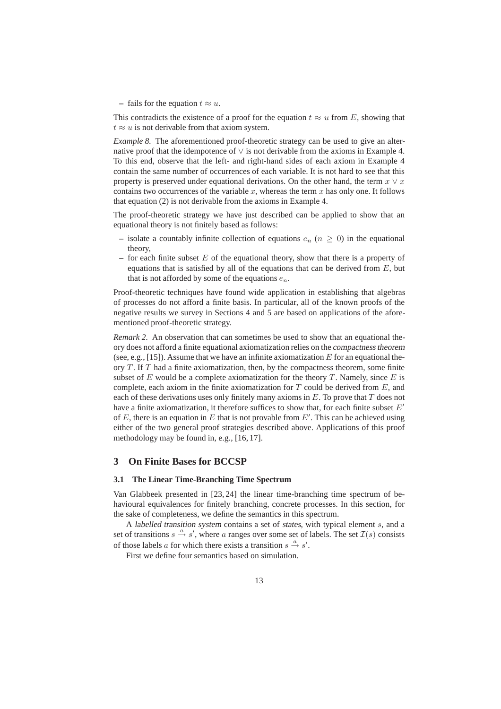– fails for the equation  $t \approx u$ .

This contradicts the existence of a proof for the equation  $t \approx u$  from E, showing that  $t \approx u$  is not derivable from that axiom system.

*Example 8.* The aforementioned proof-theoretic strategy can be used to give an alternative proof that the idempotence of ∨ is not derivable from the axioms in Example 4. To this end, observe that the left- and right-hand sides of each axiom in Example 4 contain the same number of occurrences of each variable. It is not hard to see that this property is preserved under equational derivations. On the other hand, the term  $x \vee x$ contains two occurrences of the variable x, whereas the term x has only one. It follows that equation (2) is not derivable from the axioms in Example 4.

The proof-theoretic strategy we have just described can be applied to show that an equational theory is not finitely based as follows:

- isolate a countably infinite collection of equations  $e_n$  ( $n > 0$ ) in the equational theory,
- **–** for each finite subset E of the equational theory, show that there is a property of equations that is satisfied by all of the equations that can be derived from  $E$ , but that is not afforded by some of the equations  $e_n$ .

Proof-theoretic techniques have found wide application in establishing that algebras of processes do not afford a finite basis. In particular, all of the known proofs of the negative results we survey in Sections 4 and 5 are based on applications of the aforementioned proof-theoretic strategy.

*Remark 2.* An observation that can sometimes be used to show that an equational theory does not afford a finite equational axiomatization relies on the compactness theorem (see, e.g., [15]). Assume that we have an infinite axiomatization  $E$  for an equational theory  $T$ . If  $T$  had a finite axiomatization, then, by the compactness theorem, some finite subset of E would be a complete axiomatization for the theory T. Namely, since E is complete, each axiom in the finite axiomatization for  $T$  could be derived from  $E$ , and each of these derivations uses only finitely many axioms in  $E$ . To prove that  $T$  does not have a finite axiomatization, it therefore suffices to show that, for each finite subset  $E'$ of  $E$ , there is an equation in  $E$  that is not provable from  $E'$ . This can be achieved using either of the two general proof strategies described above. Applications of this proof methodology may be found in, e.g., [16, 17].

### **3 On Finite Bases for BCCSP**

### **3.1 The Linear Time-Branching Time Spectrum**

Van Glabbeek presented in [23, 24] the linear time-branching time spectrum of behavioural equivalences for finitely branching, concrete processes. In this section, for the sake of completeness, we define the semantics in this spectrum.

A labelled transition system contains a set of states, with typical element s, and a set of transitions  $s \stackrel{a}{\rightarrow} s'$ , where a ranges over some set of labels. The set  $\mathcal{I}(s)$  consists of those labels a for which there exists a transition  $s \stackrel{a}{\rightarrow} s'$ .

First we define four semantics based on simulation.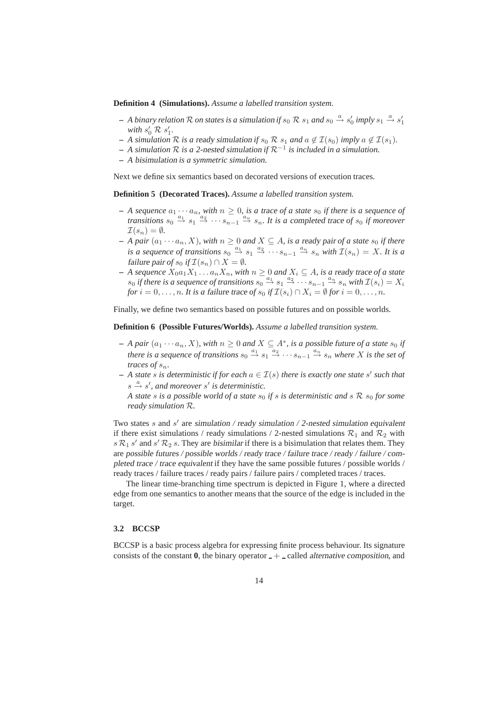**Definition 4 (Simulations).** *Assume a labelled transition system.*

- $-$  *A binary relation*  $R$  *on states is a simulation if*  $s_0$   $R$   $s_1$  *and*  $s_0 \xrightarrow{a} s'_0$  *imply*  $s_1 \xrightarrow{a} s'_1$ with  $s'_0 \mathcal{R} s'_1$ .
- **−** *A simulation*  $\mathcal R$  *is a ready simulation if*  $s_0 \mathcal R$   $s_1$  *and*  $a \notin \mathcal I(s_0)$  *imply*  $a \notin \mathcal I(s_1)$ *.*
- **–** *A simulation* R *is a* 2-nested simulation *if* R−<sup>1</sup> *is included in a simulation.*
- **–** *A* bisimulation *is a symmetric simulation.*

Next we define six semantics based on decorated versions of execution traces.

**Definition 5 (Decorated Traces).** *Assume a labelled transition system.*

- *– A sequence*  $a_1 \cdots a_n$ , with  $n \geq 0$ , is a trace of a state  $s_0$  if there is a sequence of *transitions*  $s_0 \stackrel{a_1}{\rightarrow} s_1 \stackrel{a_2}{\rightarrow} \cdots s_{n-1} \stackrel{a_n}{\rightarrow} s_n$ . It is a completed trace of  $s_0$  *if moreover*  $\mathcal{I}(s_n) = \emptyset$ .
- $-$  *A pair*  $(a_1 \cdots a_n, X)$ *, with*  $n \geq 0$  *and*  $X \subseteq A$ *, is a ready pair of a state*  $s_0$  *if there is a sequence of transitions*  $s_0 \stackrel{a_1}{\rightarrow} s_1 \stackrel{a_2}{\rightarrow} \cdots s_{n-1} \stackrel{a_n}{\rightarrow} s_n$  with  $\mathcal{I}(s_n) = X$ . It is a failure pair of  $s_0$  if  $\mathcal{I}(s_n) \cap X = \emptyset$ .
- $-$  *A sequence*  $X_0a_1X_1 \ldots a_nX_n$ , with  $n ≥ 0$  and  $X_i ⊆ A$ , is a ready trace of a state  $s_0$  *if there is a sequence of transitions*  $s_0 \stackrel{a_1}{\rightarrow} s_1 \stackrel{a_2}{\rightarrow} \cdots s_{n-1} \stackrel{a_n}{\rightarrow} s_n$  *with*  $\mathcal{I}(s_i) = X_i$ *for*  $i = 0, \ldots, n$ *. It is a failure trace of*  $s_0$  *if*  $\mathcal{I}(s_i) \cap X_i = \emptyset$  *for*  $i = 0, \ldots, n$ *.*

Finally, we define two semantics based on possible futures and on possible worlds.

**Definition 6 (Possible Futures/Worlds).** *Assume a labelled transition system.*

- $-$  *A pair* ( $a_1 \cdots a_n$ , *X*)*, with*  $n ≥ 0$  *and*  $X ⊆ A^*$ *, is a possible future of a state*  $s_0$  *if there is a sequence of transitions*  $s_0 \stackrel{a_1}{\rightarrow} s_1 \stackrel{a_2}{\rightarrow} \cdots s_{n-1} \stackrel{a_n}{\rightarrow} s_n$  *where* X *is the set of traces of*  $s_n$ *.*
- $-$  *A state s is deterministic if for each*  $a \in \mathcal{I}(s)$  *there is exactly one state* s' *such that*  $s \stackrel{a}{\rightarrow} s'$ , and moreover s' is deterministic.

*A state* s *is a possible world of a state*  $s_0$  *if* s *is deterministic and* s  $\mathcal{R}$   $s_0$  *for some ready simulation* R*.*

Two states s and s' are simulation / ready simulation / 2-nested simulation equivalent if there exist simulations / ready simulations / 2-nested simulations  $\mathcal{R}_1$  and  $\mathcal{R}_2$  with  $s \mathcal{R}_1 s'$  and  $s' \mathcal{R}_2 s$ . They are bisimilar if there is a bisimulation that relates them. They are possible futures / possible worlds / ready trace / failure trace / ready / failure / completed trace / trace equivalent if they have the same possible futures / possible worlds / ready traces / failure traces / ready pairs / failure pairs / completed traces / traces.

The linear time-branching time spectrum is depicted in Figure 1, where a directed edge from one semantics to another means that the source of the edge is included in the target.

### **3.2 BCCSP**

BCCSP is a basic process algebra for expressing finite process behaviour. Its signature consists of the constant  $\bf{0}$ , the binary operator  $-+$  called alternative composition, and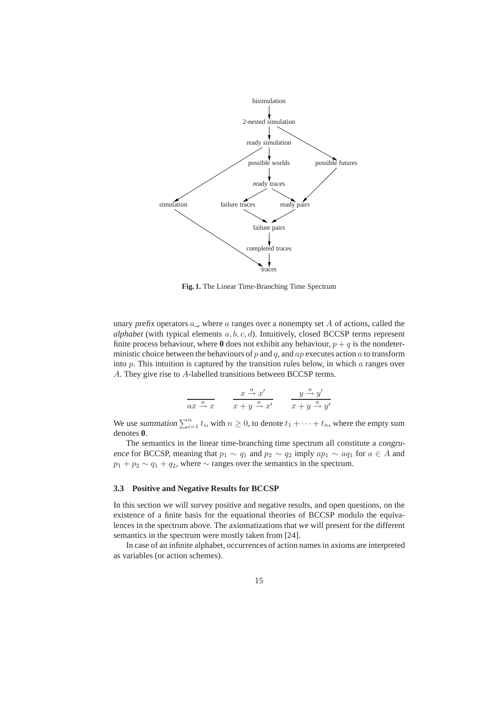

**Fig. 1.** The Linear Time-Branching Time Spectrum

unary prefix operators  $a_$ , where  $a$  ranges over a nonempty set  $A$  of actions, called the *alphabet* (with typical elements  $a, b, c, d$ ). Intuitively, closed BCCSP terms represent finite process behaviour, where  $\bf{0}$  does not exhibit any behaviour,  $p + q$  is the nondeterministic choice between the behaviours of  $p$  and  $q$ , and  $ap$  executes action  $a$  to transform into  $p$ . This intuition is captured by the transition rules below, in which  $a$  ranges over A. They give rise to A-labelled transitions between BCCSP terms.

$$
\frac{x}{ax \xrightarrow{a} x} \qquad \frac{x \xrightarrow{a} x'}{x + y \xrightarrow{a} x'} \qquad \frac{y \xrightarrow{a} y'}{x + y \xrightarrow{a} y'}
$$

We use summation  $\sum_{i=1}^{n} t_i$ , with  $n \ge 0$ , to denote  $t_1 + \cdots + t_n$ , where the empty sum denotes **0**.

The semantics in the linear time-branching time spectrum all constitute a congruence for BCCSP, meaning that  $p_1 \sim q_1$  and  $p_2 \sim q_2$  imply  $ap_1 \sim aq_1$  for  $a \in A$  and  $p_1 + p_2 \sim q_1 + q_2$ , where  $\sim$  ranges over the semantics in the spectrum.

### **3.3 Positive and Negative Results for BCCSP**

In this section we will survey positive and negative results, and open questions, on the existence of a finite basis for the equational theories of BCCSP modulo the equivalences in the spectrum above. The axiomatizations that we will present for the different semantics in the spectrum were mostly taken from [24].

In case of an infinite alphabet, occurrences of action names in axioms are interpreted as variables (or action schemes).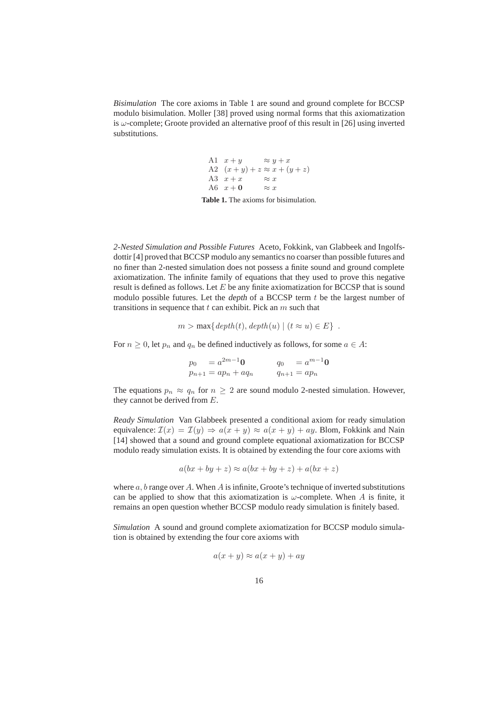*Bisimulation* The core axioms in Table 1 are sound and ground complete for BCCSP modulo bisimulation. Moller [38] proved using normal forms that this axiomatization is  $\omega$ -complete; Groote provided an alternative proof of this result in [26] using inverted substitutions.

> A1  $x + y \implies y + x$ A2  $(x+y)+z \approx x+(y+z)$ <br>A3  $x+x \approx x$ A3  $x + x$   $\approx x$ <br>A6  $x + 0$   $\approx x$ A6  $x + 0$

**Table 1.** The axioms for bisimulation.

*2-Nested Simulation and Possible Futures* Aceto, Fokkink, van Glabbeek and Ingolfsdottir [4] proved that BCCSP modulo any semantics no coarser than possible futures and no finer than 2-nested simulation does not possess a finite sound and ground complete axiomatization. The infinite family of equations that they used to prove this negative result is defined as follows. Let  $E$  be any finite axiomatization for BCCSP that is sound modulo possible futures. Let the *depth* of a BCCSP term  $t$  be the largest number of transitions in sequence that  $t$  can exhibit. Pick an  $m$  such that

$$
m > \max\{depth(t), depth(u) \mid (t \approx u) \in E\} .
$$

For  $n \geq 0$ , let  $p_n$  and  $q_n$  be defined inductively as follows, for some  $a \in A$ :

$$
p_0 = a^{2m-1} \mathbf{0} \qquad q_0 = a^{m-1} \mathbf{0}
$$
  

$$
p_{n+1} = ap_n + aq_n \qquad q_{n+1} = ap_n
$$

The equations  $p_n \approx q_n$  for  $n \geq 2$  are sound modulo 2-nested simulation. However, they cannot be derived from E.

*Ready Simulation* Van Glabbeek presented a conditional axiom for ready simulation equivalence:  $\mathcal{I}(x) = \mathcal{I}(y) \Rightarrow a(x + y) \approx a(x + y) + ay$ . Blom, Fokkink and Nain [14] showed that a sound and ground complete equational axiomatization for BCCSP modulo ready simulation exists. It is obtained by extending the four core axioms with

$$
a(bx + by + z) \approx a(bx + by + z) + a(bx + z)
$$

where  $a, b$  range over A. When A is infinite, Groote's technique of inverted substitutions can be applied to show that this axiomatization is  $\omega$ -complete. When A is finite, it remains an open question whether BCCSP modulo ready simulation is finitely based.

*Simulation* A sound and ground complete axiomatization for BCCSP modulo simulation is obtained by extending the four core axioms with

$$
a(x+y) \approx a(x+y) + ay
$$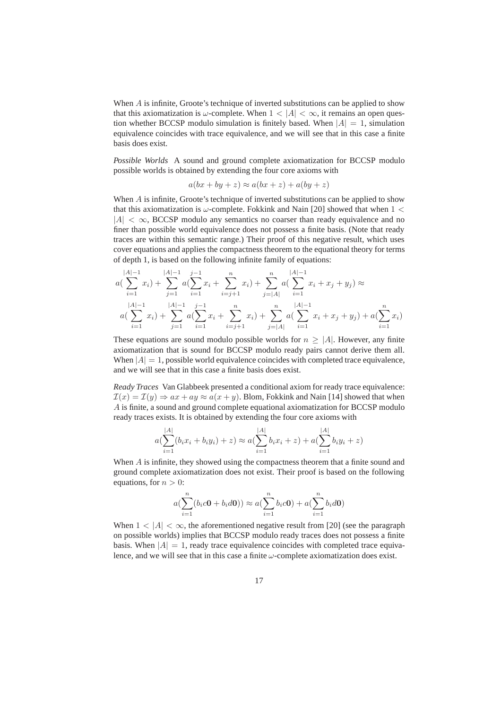When  $\vec{A}$  is infinite, Groote's technique of inverted substitutions can be applied to show that this axiomatization is  $\omega$ -complete. When  $1 < |A| < \infty$ , it remains an open question whether BCCSP modulo simulation is finitely based. When  $|A| = 1$ , simulation equivalence coincides with trace equivalence, and we will see that in this case a finite basis does exist.

*Possible Worlds* A sound and ground complete axiomatization for BCCSP modulo possible worlds is obtained by extending the four core axioms with

$$
a(bx + by + z) \approx a(bx + z) + a(by + z)
$$

When  $A$  is infinite, Groote's technique of inverted substitutions can be applied to show that this axiomatization is  $\omega$ -complete. Fokkink and Nain [20] showed that when  $1 <$  $|A| < \infty$ , BCCSP modulo any semantics no coarser than ready equivalence and no finer than possible world equivalence does not possess a finite basis. (Note that ready traces are within this semantic range.) Their proof of this negative result, which uses cover equations and applies the compactness theorem to the equational theory for terms of depth 1, is based on the following infinite family of equations:

$$
a\left(\sum_{i=1}^{|A|-1} x_i\right) + \sum_{j=1}^{|A|-1} a\left(\sum_{i=1}^{j-1} x_i + \sum_{i=j+1}^n x_i\right) + \sum_{j=|A|}^n a\left(\sum_{i=1}^{|A|-1} x_i + x_j + y_j\right) \approx
$$
  

$$
a\left(\sum_{i=1}^{|A|-1} x_i\right) + \sum_{j=1}^{|A|-1} a\left(\sum_{i=1}^{j-1} x_i + \sum_{i=j+1}^n x_i\right) + \sum_{j=|A|}^n a\left(\sum_{i=1}^{|A|-1} x_i + x_j + y_j\right) + a\left(\sum_{i=1}^n x_i\right)
$$

These equations are sound modulo possible worlds for  $n \geq |A|$ . However, any finite axiomatization that is sound for BCCSP modulo ready pairs cannot derive them all. When  $|A| = 1$ , possible world equivalence coincides with completed trace equivalence, and we will see that in this case a finite basis does exist.

*Ready Traces* Van Glabbeek presented a conditional axiom for ready trace equivalence:  $\mathcal{I}(x) = \mathcal{I}(y) \Rightarrow ax + ay \approx a(x + y)$ . Blom, Fokkink and Nain [14] showed that when A is finite, a sound and ground complete equational axiomatization for BCCSP modulo ready traces exists. It is obtained by extending the four core axioms with

$$
a\left(\sum_{i=1}^{|A|} (b_i x_i + b_i y_i) + z\right) \approx a\left(\sum_{i=1}^{|A|} b_i x_i + z\right) + a\left(\sum_{i=1}^{|A|} b_i y_i + z\right)
$$

When A is infinite, they showed using the compactness theorem that a finite sound and ground complete axiomatization does not exist. Their proof is based on the following equations, for  $n > 0$ :

$$
a(\sum_{i=1}^{n} (b_i c0 + b_i d0)) \approx a(\sum_{i=1}^{n} b_i c0) + a(\sum_{i=1}^{n} b_i d0)
$$

When  $1 < |A| < \infty$ , the aforementioned negative result from [20] (see the paragraph on possible worlds) implies that BCCSP modulo ready traces does not possess a finite basis. When  $|A| = 1$ , ready trace equivalence coincides with completed trace equivalence, and we will see that in this case a finite  $\omega$ -complete axiomatization does exist.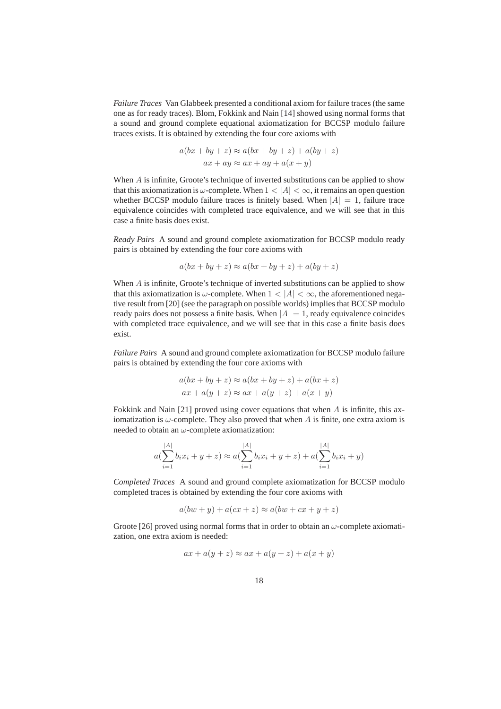*Failure Traces* Van Glabbeek presented a conditional axiom for failure traces (the same one as for ready traces). Blom, Fokkink and Nain [14] showed using normal forms that a sound and ground complete equational axiomatization for BCCSP modulo failure traces exists. It is obtained by extending the four core axioms with

$$
a(bx + by + z) \approx a(bx + by + z) + a(by + z)
$$
  

$$
ax + ay \approx ax + ay + a(x + y)
$$

When  $A$  is infinite, Groote's technique of inverted substitutions can be applied to show that this axiomatization is  $\omega$ -complete. When  $1 < |A| < \infty$ , it remains an open question whether BCCSP modulo failure traces is finitely based. When  $|A| = 1$ , failure trace equivalence coincides with completed trace equivalence, and we will see that in this case a finite basis does exist.

*Ready Pairs* A sound and ground complete axiomatization for BCCSP modulo ready pairs is obtained by extending the four core axioms with

$$
a(bx + by + z) \approx a(bx + by + z) + a(by + z)
$$

When  $\vec{A}$  is infinite, Groote's technique of inverted substitutions can be applied to show that this axiomatization is  $\omega$ -complete. When  $1 < |A| < \infty$ , the aforementioned negative result from [20] (see the paragraph on possible worlds) implies that BCCSP modulo ready pairs does not possess a finite basis. When  $|A| = 1$ , ready equivalence coincides with completed trace equivalence, and we will see that in this case a finite basis does exist.

*Failure Pairs* A sound and ground complete axiomatization for BCCSP modulo failure pairs is obtained by extending the four core axioms with

$$
a(bx + by + z) \approx a(bx + by + z) + a(bx + z)
$$
  
ax + a(y + z) \approx ax + a(y + z) + a(x + y)

Fokkink and Nain [21] proved using cover equations that when  $A$  is infinite, this axiomatization is  $\omega$ -complete. They also proved that when A is finite, one extra axiom is needed to obtain an  $\omega$ -complete axiomatization:

$$
a\left(\sum_{i=1}^{|A|} b_i x_i + y + z\right) \approx a\left(\sum_{i=1}^{|A|} b_i x_i + y + z\right) + a\left(\sum_{i=1}^{|A|} b_i x_i + y\right)
$$

*Completed Traces* A sound and ground complete axiomatization for BCCSP modulo completed traces is obtained by extending the four core axioms with

$$
a(bw + y) + a(cx + z) \approx a(bw + cx + y + z)
$$

Groote [26] proved using normal forms that in order to obtain an  $\omega$ -complete axiomatization, one extra axiom is needed:

$$
ax + a(y + z) \approx ax + a(y + z) + a(x + y)
$$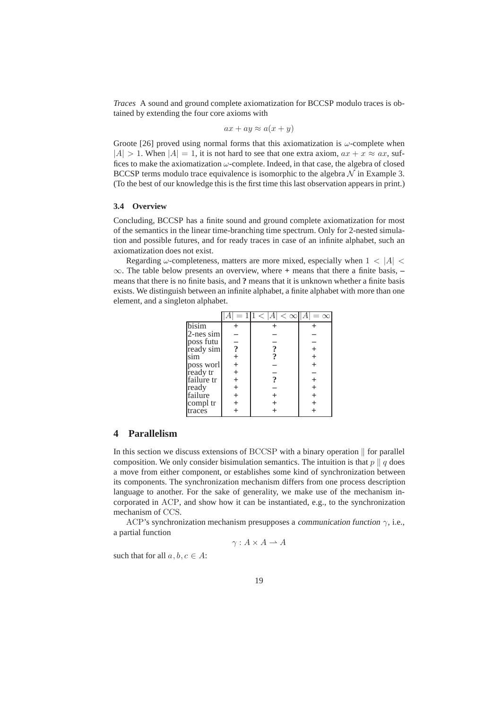*Traces* A sound and ground complete axiomatization for BCCSP modulo traces is obtained by extending the four core axioms with

$$
ax + ay \approx a(x + y)
$$

Groote [26] proved using normal forms that this axiomatization is  $\omega$ -complete when  $|A| > 1$ . When  $|A| = 1$ , it is not hard to see that one extra axiom,  $ax + x \approx ax$ , suffices to make the axiomatization  $\omega$ -complete. Indeed, in that case, the algebra of closed BCCSP terms modulo trace equivalence is isomorphic to the algebra  $N$  in Example 3. (To the best of our knowledge this is the first time this last observation appears in print.)

### **3.4 Overview**

Concluding, BCCSP has a finite sound and ground complete axiomatization for most of the semantics in the linear time-branching time spectrum. Only for 2-nested simulation and possible futures, and for ready traces in case of an infinite alphabet, such an axiomatization does not exist.

Regarding  $\omega$ -completeness, matters are more mixed, especially when  $1 < |A| <$ ∞. The table below presents an overview, where **+** means that there a finite basis, **–** means that there is no finite basis, and **?** means that it is unknown whether a finite basis exists. We distinguish between an infinite alphabet, a finite alphabet with more than one element, and a singleton alphabet.

|                        |                           | $<\infty$<br>А            |          |
|------------------------|---------------------------|---------------------------|----------|
| bisim                  |                           |                           |          |
| $2$ -nes sim           |                           |                           |          |
|                        |                           |                           |          |
| poss futu<br>ready sim | $\boldsymbol{\mathsf{?}}$ | $\boldsymbol{\mathsf{?}}$ |          |
| sim                    |                           |                           | $\,+\,$  |
| poss worl<br>ready tr  |                           |                           | $\,{}^+$ |
|                        |                           |                           |          |
| failure tr             |                           |                           | $^+$     |
| ready                  |                           |                           | $^+$     |
| failure                |                           |                           | $^{+}$   |
| compl tr               |                           |                           |          |
| traces                 |                           |                           |          |

### **4 Parallelism**

In this section we discuss extensions of BCCSP with a binary operation  $\parallel$  for parallel composition. We only consider bisimulation semantics. The intuition is that  $p \parallel q$  does a move from either component, or establishes some kind of synchronization between its components. The synchronization mechanism differs from one process description language to another. For the sake of generality, we make use of the mechanism incorporated in ACP, and show how it can be instantiated, e.g., to the synchronization mechanism of CCS.

ACP's synchronization mechanism presupposes a communication function  $\gamma$ , i.e., a partial function

$$
\gamma: A \times A \rightharpoonup A
$$

such that for all  $a, b, c \in A$ :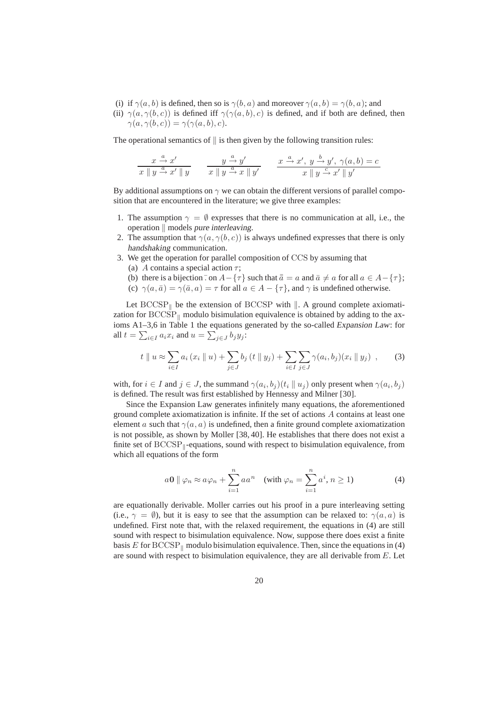- (i) if  $\gamma(a, b)$  is defined, then so is  $\gamma(b, a)$  and moreover  $\gamma(a, b) = \gamma(b, a)$ ; and
- (ii)  $\gamma(a, \gamma(b, c))$  is defined iff  $\gamma(\gamma(a, b), c)$  is defined, and if both are defined, then  $\gamma(a, \gamma(b, c)) = \gamma(\gamma(a, b), c).$

The operational semantics of  $\parallel$  is then given by the following transition rules:

$$
\frac{x \stackrel{a}{\rightarrow} x'}{x \parallel y \stackrel{a}{\rightarrow} x' \parallel y}
$$
\n
$$
\frac{y \stackrel{a}{\rightarrow} y'}{x \parallel y \stackrel{a}{\rightarrow} x \parallel y'}
$$
\n
$$
\frac{x \stackrel{a}{\rightarrow} x', y \stackrel{b}{\rightarrow} y', \gamma(a, b) = c}{x \parallel y \stackrel{c}{\rightarrow} x' \parallel y'}
$$

By additional assumptions on  $\gamma$  we can obtain the different versions of parallel composition that are encountered in the literature; we give three examples:

- 1. The assumption  $\gamma = \emptyset$  expresses that there is no communication at all, i.e., the operation  $\parallel$  models pure interleaving.
- 2. The assumption that  $\gamma(a, \gamma(b, c))$  is always undefined expresses that there is only handshaking communication.
- 3. We get the operation for parallel composition of CCS by assuming that
	- (a) A contains a special action  $\tau$ ;
	- (b) there is a bijection  $\overline{\cdot}$  on  $A-\{\tau\}$  such that  $\overline{\overline{a}}=a$  and  $\overline{a}\neq a$  for all  $a\in A-\{\tau\}$ ; (c)  $\gamma(a,\bar{a}) = \gamma(\bar{a},a) = \tau$  for all  $a \in A - {\tau}$ , and  $\gamma$  is undefined otherwise.

Let  $BCCSP_{\parallel}$  be the extension of BCCSP with  $\parallel$ . A ground complete axiomatization for  $BCCSP_{\parallel}$  modulo bisimulation equivalence is obtained by adding to the axioms A1–3,6 in Table 1 the equations generated by the so-called Expansion Law: for all  $t = \sum_{i \in I} a_i x_i$  and  $u = \sum_{j \in J} b_j y_j$ :

$$
t \| u \approx \sum_{i \in I} a_i (x_i \| u) + \sum_{j \in J} b_j (t \| y_j) + \sum_{i \in I} \sum_{j \in J} \gamma(a_i, b_j) (x_i \| y_j) , \qquad (3)
$$

with, for  $i \in I$  and  $j \in J$ , the summand  $\gamma(a_i, b_j)(t_i || u_j)$  only present when  $\gamma(a_i, b_j)$ is defined. The result was first established by Hennessy and Milner [30].

Since the Expansion Law generates infinitely many equations, the aforementioned ground complete axiomatization is infinite. If the set of actions A contains at least one element a such that  $\gamma(a, a)$  is undefined, then a finite ground complete axiomatization is not possible, as shown by Moller [38, 40]. He establishes that there does not exist a finite set of  $BCCSP_{\parallel}$ -equations, sound with respect to bisimulation equivalence, from which all equations of the form

$$
a\mathbf{0} \parallel \varphi_n \approx a\varphi_n + \sum_{i=1}^n a a^n \quad \text{(with } \varphi_n = \sum_{i=1}^n a^i, n \ge 1\text{)}\tag{4}
$$

are equationally derivable. Moller carries out his proof in a pure interleaving setting (i.e.,  $\gamma = \emptyset$ ), but it is easy to see that the assumption can be relaxed to:  $\gamma(a, a)$  is undefined. First note that, with the relaxed requirement, the equations in (4) are still sound with respect to bisimulation equivalence. Now, suppose there does exist a finite basis E for  $\text{BCCSP}_{\parallel}$  modulo bisimulation equivalence. Then, since the equations in (4) are sound with respect to bisimulation equivalence, they are all derivable from  $E$ . Let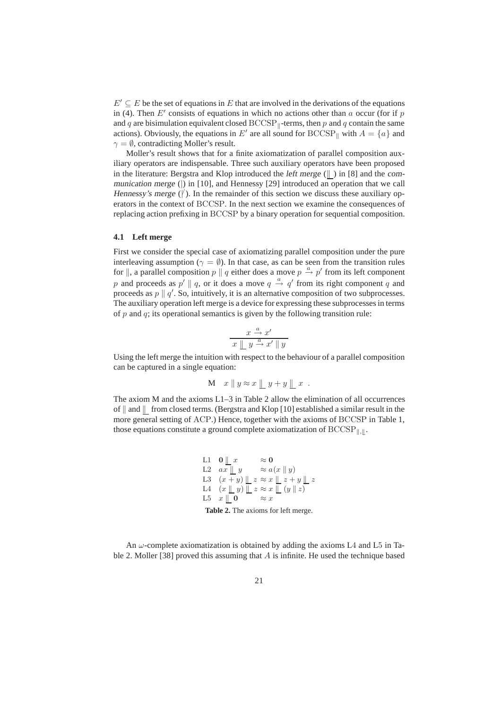$E' \subseteq E$  be the set of equations in E that are involved in the derivations of the equations in (4). Then  $E'$  consists of equations in which no actions other than a occur (for if p and q are bisimulation equivalent closed  $\text{BCCSP}_{\parallel}$ -terms, then p and q contain the same actions). Obviously, the equations in E' are all sound for BCCSP<sub>k</sub> with  $A = \{a\}$  and  $\gamma = \emptyset$ , contradicting Moller's result.

Moller's result shows that for a finite axiomatization of parallel composition auxiliary operators are indispensable. Three such auxiliary operators have been proposed in the literature: Bergstra and Klop introduced the left merge  $(\| \)$  in [8] and the communication merge (|) in [10], and Hennessy [29] introduced an operation that we call Hennessy's merge  $(\n)$ . In the remainder of this section we discuss these auxiliary operators in the context of BCCSP. In the next section we examine the consequences of replacing action prefixing in BCCSP by a binary operation for sequential composition.

### **4.1 Left merge**

First we consider the special case of axiomatizing parallel composition under the pure interleaving assumption ( $\gamma = \emptyset$ ). In that case, as can be seen from the transition rules for  $\parallel$ , a parallel composition p  $\parallel q$  either does a move p  $\stackrel{a}{\rightarrow} p'$  from its left component p and proceeds as  $p' \parallel q$ , or it does a move  $q \stackrel{a}{\rightarrow} q'$  from its right component q and proceeds as  $p \parallel q'$ . So, intuitively, it is an alternative composition of two subprocesses. The auxiliary operation left merge is a device for expressing these subprocesses in terms of  $p$  and  $q$ ; its operational semantics is given by the following transition rule:

$$
\begin{array}{c}\nx \xrightarrow{a} x' \\
\hline\nx \perp y \xrightarrow{a} x' \parallel y\n\end{array}
$$

Using the left merge the intuition with respect to the behaviour of a parallel composition can be captured in a single equation:

$$
M \t x \parallel y \approx x \parallel y + y \parallel x .
$$

The axiom M and the axioms  $L1-3$  in Table 2 allow the elimination of all occurrences of  $\parallel$  and  $\parallel$  from closed terms. (Bergstra and Klop [10] established a similar result in the more general setting of ACP.) Hence, together with the axioms of BCCSP in Table 1, those equations constitute a ground complete axiomatization of  $\text{BCCSP}_{\parallel,\parallel}$ .

L1 0 || x 
$$
\approx
$$
 0  
\nL2  $ax \parallel y$   $\approx a(x \parallel y)$   
\nL3  $(x+y) \parallel z \approx x \parallel z+y \parallel z$   
\nL4  $(x \parallel y) \parallel z \approx x \parallel (y \parallel z)$   
\nL5  $x \parallel 0$   $\approx x$   
\n**Table 2.** The axioms for left merge.

An  $\omega$ -complete axiomatization is obtained by adding the axioms L4 and L5 in Table 2. Moller [38] proved this assuming that  $A$  is infinite. He used the technique based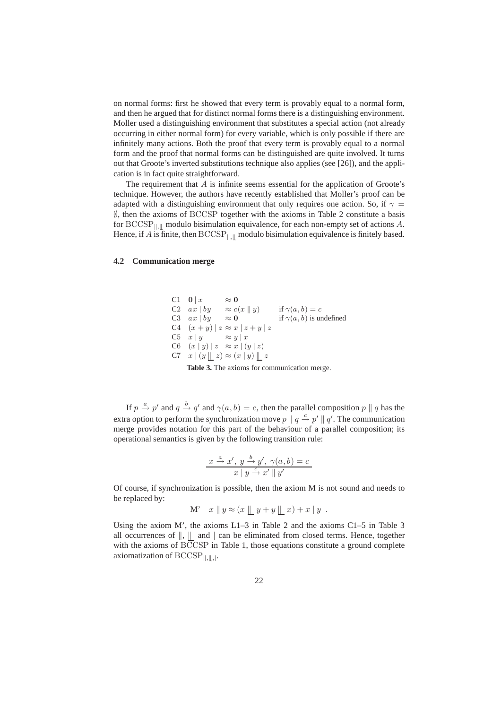on normal forms: first he showed that every term is provably equal to a normal form, and then he argued that for distinct normal forms there is a distinguishing environment. Moller used a distinguishing environment that substitutes a special action (not already occurring in either normal form) for every variable, which is only possible if there are infinitely many actions. Both the proof that every term is provably equal to a normal form and the proof that normal forms can be distinguished are quite involved. It turns out that Groote's inverted substitutions technique also applies (see [26]), and the application is in fact quite straightforward.

The requirement that  $A$  is infinite seems essential for the application of Groote's technique. However, the authors have recently established that Moller's proof can be adapted with a distinguishing environment that only requires one action. So, if  $\gamma$  = ∅, then the axioms of BCCSP together with the axioms in Table 2 constitute a basis for BCCSP<sub> $\|$ ,  $\|$ </sub> modulo bisimulation equivalence, for each non-empty set of actions A. Hence, if A is finite, then  $\text{BCCSP}_{\parallel,\parallel}$  modulo bisimulation equivalence is finitely based.

### **4.2 Communication merge**

C1 0 | x 
$$
\approx
$$
 0  
\nC2 ax | by  $\approx c(x || y)$  if  $\gamma(a, b) = c$   
\nC3 ax | by  $\approx$  0 if  $\gamma(a, b)$  is undefined  
\nC4  $(x + y) | z \approx x | z + y | z$   
\nC5 x | y  $\approx y | x$   
\nC6  $(x | y) | z \approx x | (y | z)$   
\nC7 x |  $(y || z) \approx (x | y) || z$ 

**Table 3.** The axioms for communication merge.

If  $p \stackrel{a}{\rightarrow} p'$  and  $q \stackrel{b}{\rightarrow} q'$  and  $\gamma(a, b) = c$ , then the parallel composition  $p \parallel q$  has the extra option to perform the synchronization move  $p \parallel q \stackrel{c}{\rightarrow} p' \parallel q'$ . The communication merge provides notation for this part of the behaviour of a parallel composition; its operational semantics is given by the following transition rule:

$$
\frac{x \stackrel{a}{\rightarrow} x', y \stackrel{b}{\rightarrow} y', \gamma(a, b) = c}{x \mid y \stackrel{c}{\rightarrow} x' \parallel y'}
$$

Of course, if synchronization is possible, then the axiom M is not sound and needs to be replaced by:

$$
M' \quad x \parallel y \approx (x \parallel y + y \parallel x) + x \parallel y .
$$

Using the axiom M', the axioms L1–3 in Table 2 and the axioms C1–5 in Table 3 all occurrences of  $\parallel$ ,  $\parallel$  and  $\parallel$  can be eliminated from closed terms. Hence, together with the axioms of BCCSP in Table 1, those equations constitute a ground complete axiomatization of  $\text{BCCSP}_{\parallel, \parallel, \parallel}$ .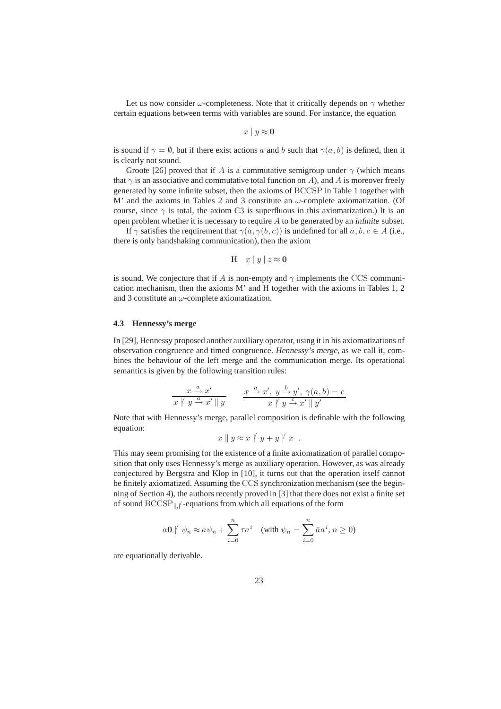Let us now consider  $\omega$ -completeness. Note that it critically depends on  $\gamma$  whether certain equations between terms with variables are sound. For instance, the equation

$$
x \mid y \approx \mathbf{0}
$$

is sound if  $\gamma = \emptyset$ , but if there exist actions a and b such that  $\gamma(a, b)$  is defined, then it is clearly not sound.

Groote [26] proved that if A is a commutative semigroup under  $\gamma$  (which means that  $\gamma$  is an associative and commutative total function on A), and A is moreover freely generated by some infinite subset, then the axioms of BCCSP in Table 1 together with M' and the axioms in Tables 2 and 3 constitute an  $\omega$ -complete axiomatization. (Of course, since  $\gamma$  is total, the axiom C3 is superfluous in this axiomatization.) It is an open problem whether it is necessary to require  $A$  to be generated by an *infinite* subset.

If  $\gamma$  satisfies the requirement that  $\gamma(a, \gamma(b, c))$  is undefined for all  $a, b, c \in A$  (i.e., there is only handshaking communication), then the axiom

$$
H \quad x \mid y \mid z \approx 0
$$

is sound. We conjecture that if A is non-empty and  $\gamma$  implements the CCS communication mechanism, then the axioms M' and H together with the axioms in Tables 1, 2 and 3 constitute an  $\omega$ -complete axiomatization.

### **4.3 Hennessy's merge**

In [29], Hennessy proposed another auxiliary operator, using it in his axiomatizations of observation congruence and timed congruence. Hennessy's merge, as we call it, combines the behaviour of the left merge and the communication merge. Its operational semantics is given by the following transition rules:

$$
\frac{x \stackrel{a}{\rightarrow} x'}{x \mid y \stackrel{a}{\rightarrow} x' \parallel y}
$$
\n
$$
\frac{x \stackrel{a}{\rightarrow} x', y \stackrel{b}{\rightarrow} y', \gamma(a, b) = c}{x \mid y \stackrel{c}{\rightarrow} x' \parallel y'}
$$

Note that with Hennessy's merge, parallel composition is definable with the following equation:

$$
x \parallel y \approx x \parallel y + y \parallel x .
$$

This may seem promising for the existence of a finite axiomatization of parallel composition that only uses Hennessy's merge as auxiliary operation. However, as was already conjectured by Bergstra and Klop in [10], it turns out that the operation itself cannot be finitely axiomatized. Assuming the CCS synchronization mechanism (see the beginning of Section 4), the authors recently proved in [3] that there does not exist a finite set of sound  $\mathrm{BCCSP}_{\parallel,\parallel}$  -equations from which all equations of the form

$$
a\mathbf{0} \not\vert \psi_n \approx a\psi_n + \sum_{i=0}^n \tau a^i \quad \text{(with } \psi_n = \sum_{i=0}^n \bar{a}a^i, n \ge 0\text{)}
$$

are equationally derivable.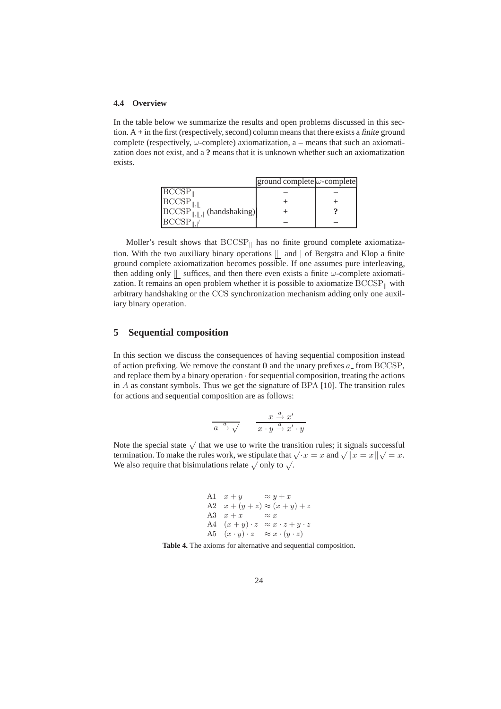### **4.4 Overview**

In the table below we summarize the results and open problems discussed in this section. A **+** in the first (respectively, second) column means that there exists a finite ground complete (respectively, ω-complete) axiomatization, a **–** means that such an axiomatization does not exist, and a **?** means that it is unknown whether such an axiomatization exists.

|                                                                             | $\vert$ ground complete $\vert \omega$ -complete |  |
|-----------------------------------------------------------------------------|--------------------------------------------------|--|
| $\vert$ BCCSP $_{\parallel}$                                                |                                                  |  |
| $\left  \text{BCCSP}_{\parallel, \parallel} \right $                        |                                                  |  |
| $\left  \text{BCCSP}_{\parallel,\parallel,\parallel} \right $ (handshaking) |                                                  |  |
| BCCSP                                                                       |                                                  |  |

Moller's result shows that  $BCCSP_{\parallel}$  has no finite ground complete axiomatization. With the two auxiliary binary operations  $\parallel$  and  $\parallel$  of Bergstra and Klop a finite ground complete axiomatization becomes possible. If one assumes pure interleaving, then adding only  $\|\cdot\|$  suffices, and then there even exists a finite  $\omega$ -complete axiomatization. It remains an open problem whether it is possible to axiomatize  $\text{BCCSP}_{\parallel}$  with arbitrary handshaking or the CCS synchronization mechanism adding only one auxiliary binary operation.

### **5 Sequential composition**

In this section we discuss the consequences of having sequential composition instead of action prefixing. We remove the constant  $\bf{0}$  and the unary prefixes  $a_{\text{-}}$  from BCCSP, and replace them by a binary operation  $\cdot$  for sequential composition, treating the actions in A as constant symbols. Thus we get the signature of BPA [10]. The transition rules for actions and sequential composition are as follows:

$$
\frac{x}{a} \xrightarrow{a} \sqrt{1 - \frac{x}{x} \cdot y \xrightarrow{a} x' \cdot y}
$$

Note the special state  $\sqrt{\ }$  that we use to write the transition rules; it signals successful termination. To make the rules work, we stipulate that  $\sqrt{x} = x$  and  $\sqrt{x} = x \sqrt{x} - x$ . We also require that bisimulations relate  $\sqrt{\ }$  only to  $\sqrt{\ }$ .

A1 
$$
x + y \approx y + x
$$
  
\nA2  $x + (y + z) \approx (x + y) + z$   
\nA3  $x + x \approx x$   
\nA4  $(x + y) \cdot z \approx x \cdot z + y \cdot z$   
\nA5  $(x \cdot y) \cdot z \approx x \cdot (y \cdot z)$ 

**Table 4.** The axioms for alternative and sequential composition.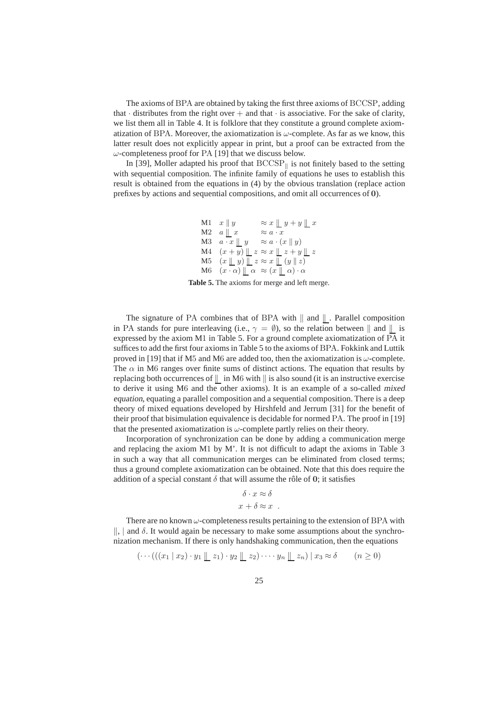The axioms of BPA are obtained by taking the first three axioms of BCCSP, adding that  $\cdot$  distributes from the right over  $+$  and that  $\cdot$  is associative. For the sake of clarity, we list them all in Table 4. It is folklore that they constitute a ground complete axiomatization of BPA. Moreover, the axiomatization is  $\omega$ -complete. As far as we know, this latter result does not explicitly appear in print, but a proof can be extracted from the  $\omega$ -completeness proof for PA [19] that we discuss below.

In [39], Moller adapted his proof that  $BCCSP<sub>||</sub>$  is not finitely based to the setting with sequential composition. The infinite family of equations he uses to establish this result is obtained from the equations in (4) by the obvious translation (replace action prefixes by actions and sequential compositions, and omit all occurrences of **0**).

> M1  $x \parallel y \qquad \approx x \parallel y + y \parallel x$ M2  $a \parallel x \approx a \cdot x$ M3  $a \cdot x \parallel y \approx a \cdot (x \parallel y)$ M4  $(x + y) \perp z \approx x \perp z + y \perp z$ M5  $(x \parallel y) \parallel z \approx x \parallel (y \parallel z)$ M6  $(x \cdot \alpha) \parallel \alpha \approx (x \parallel \alpha) \cdot \alpha$

**Table 5.** The axioms for merge and left merge.

The signature of PA combines that of BPA with  $\|$  and  $\|$  . Parallel composition in PA stands for pure interleaving (i.e.,  $\gamma = \emptyset$ ), so the relation between  $\parallel$  and  $\parallel$  is expressed by the axiom M1 in Table 5. For a ground complete axiomatization of PA it suffices to add the first four axioms in Table 5 to the axioms of BPA. Fokkink and Luttik proved in [19] that if M5 and M6 are added too, then the axiomatization is  $\omega$ -complete. The  $\alpha$  in M6 ranges over finite sums of distinct actions. The equation that results by replacing both occurrences of  $\parallel$  in M6 with  $\parallel$  is also sound (it is an instructive exercise to derive it using M6 and the other axioms). It is an example of a so-called mixed equation, equating a parallel composition and a sequential composition. There is a deep theory of mixed equations developed by Hirshfeld and Jerrum [31] for the benefit of their proof that bisimulation equivalence is decidable for normed PA. The proof in [19] that the presented axiomatization is  $\omega$ -complete partly relies on their theory.

Incorporation of synchronization can be done by adding a communication merge and replacing the axiom M1 by M'. It is not difficult to adapt the axioms in Table 3 in such a way that all communication merges can be eliminated from closed terms; thus a ground complete axiomatization can be obtained. Note that this does require the addition of a special constant  $\delta$  that will assume the rôle of 0; it satisfies

$$
\delta \cdot x \approx \delta
$$
  

$$
x + \delta \approx x .
$$

There are no known  $\omega$ -completeness results pertaining to the extension of BPA with ||, | and  $\delta$ . It would again be necessary to make some assumptions about the synchronization mechanism. If there is only handshaking communication, then the equations

$$
(\cdots(((x_1 \mid x_2) \cdot y_1 \parallel z_1) \cdot y_2 \parallel z_2) \cdots y_n \parallel z_n) \mid x_3 \approx \delta \qquad (n \ge 0)
$$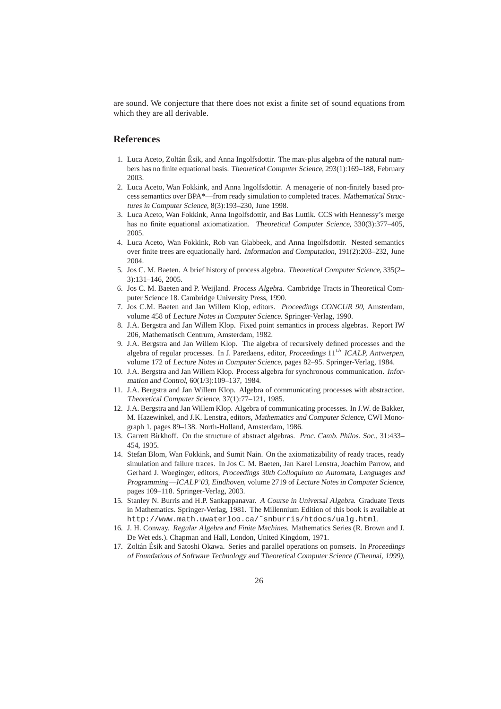are sound. We conjecture that there does not exist a finite set of sound equations from which they are all derivable.

### **References**

- 1. Luca Aceto, Zoltán Ésik, and Anna Ingolfsdottir. The max-plus algebra of the natural numbers has no finite equational basis. Theoretical Computer Science, 293(1):169–188, February 2003.
- 2. Luca Aceto, Wan Fokkink, and Anna Ingolfsdottir. A menagerie of non-finitely based process semantics over BPA\*—from ready simulation to completed traces. Mathematical Structures in Computer Science, 8(3):193–230, June 1998.
- 3. Luca Aceto, Wan Fokkink, Anna Ingolfsdottir, and Bas Luttik. CCS with Hennessy's merge has no finite equational axiomatization. Theoretical Computer Science, 330(3):377-405, 2005.
- 4. Luca Aceto, Wan Fokkink, Rob van Glabbeek, and Anna Ingolfsdottir. Nested semantics over finite trees are equationally hard. Information and Computation, 191(2):203–232, June 2004.
- 5. Jos C. M. Baeten. A brief history of process algebra. Theoretical Computer Science, 335(2– 3):131–146, 2005.
- 6. Jos C. M. Baeten and P. Weijland. Process Algebra. Cambridge Tracts in Theoretical Computer Science 18. Cambridge University Press, 1990.
- 7. Jos C.M. Baeten and Jan Willem Klop, editors. Proceedings CONCUR 90, Amsterdam, volume 458 of Lecture Notes in Computer Science. Springer-Verlag, 1990.
- 8. J.A. Bergstra and Jan Willem Klop. Fixed point semantics in process algebras. Report IW 206, Mathematisch Centrum, Amsterdam, 1982.
- 9. J.A. Bergstra and Jan Willem Klop. The algebra of recursively defined processes and the algebra of regular processes. In J. Paredaens, editor, Proceedings  $11^{th}$  ICALP, Antwerpen, volume 172 of Lecture Notes in Computer Science, pages 82–95. Springer-Verlag, 1984.
- 10. J.A. Bergstra and Jan Willem Klop. Process algebra for synchronous communication. Information and Control, 60(1/3):109–137, 1984.
- 11. J.A. Bergstra and Jan Willem Klop. Algebra of communicating processes with abstraction. Theoretical Computer Science, 37(1):77–121, 1985.
- 12. J.A. Bergstra and Jan Willem Klop. Algebra of communicating processes. In J.W. de Bakker, M. Hazewinkel, and J.K. Lenstra, editors, Mathematics and Computer Science, CWI Monograph 1, pages 89–138. North-Holland, Amsterdam, 1986.
- 13. Garrett Birkhoff. On the structure of abstract algebras. Proc. Camb. Philos. Soc., 31:433– 454, 1935.
- 14. Stefan Blom, Wan Fokkink, and Sumit Nain. On the axiomatizability of ready traces, ready simulation and failure traces. In Jos C. M. Baeten, Jan Karel Lenstra, Joachim Parrow, and Gerhard J. Woeginger, editors, Proceedings 30th Colloquium on Automata, Languages and Programming—ICALP'03, Eindhoven, volume 2719 of Lecture Notes in Computer Science, pages 109–118. Springer-Verlag, 2003.
- 15. Stanley N. Burris and H.P. Sankappanavar. <sup>A</sup> Course in Universal Algebra. Graduate Texts in Mathematics. Springer-Verlag, 1981. The Millennium Edition of this book is available at http://www.math.uwaterloo.ca/˜snburris/htdocs/ualg.html.
- 16. J. H. Conway. Regular Algebra and Finite Machines. Mathematics Series (R. Brown and J. De Wet eds.). Chapman and Hall, London, United Kingdom, 1971.
- 17. Zoltán Ésik and Satoshi Okawa. Series and parallel operations on pomsets. In Proceedings of Foundations of Software Technology and Theoretical Computer Science (Chennai, 1999),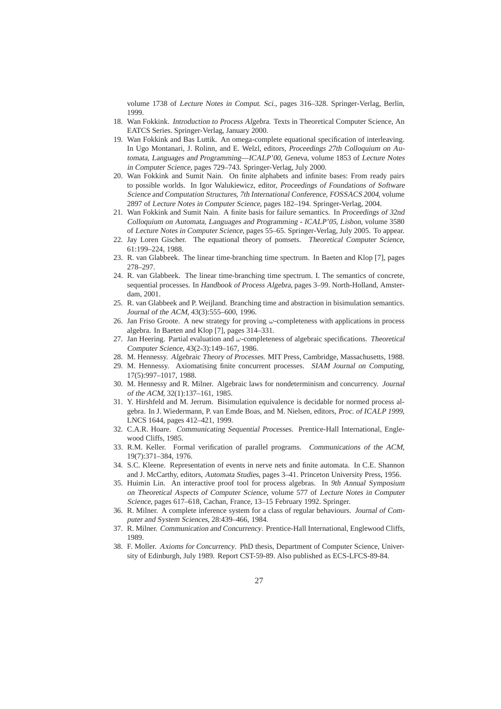volume 1738 of Lecture Notes in Comput. Sci., pages 316–328. Springer-Verlag, Berlin, 1999.

- 18. Wan Fokkink. Introduction to Process Algebra. Texts in Theoretical Computer Science, An EATCS Series. Springer-Verlag, January 2000.
- 19. Wan Fokkink and Bas Luttik. An omega-complete equational specification of interleaving. In Ugo Montanari, J. Rolinn, and E. Welzl, editors, Proceedings 27th Colloquium on Automata, Languages and Programming—ICALP'00, Geneva, volume 1853 of Lecture Notes in Computer Science, pages 729–743. Springer-Verlag, July 2000.
- 20. Wan Fokkink and Sumit Nain. On finite alphabets and infinite bases: From ready pairs to possible worlds. In Igor Walukiewicz, editor, Proceedings of Foundations of Software Science and Computation Structures, 7th International Conference, FOSSACS <sup>2004</sup>, volume 2897 of Lecture Notes in Computer Science, pages 182–194. Springer-Verlag, 2004.
- 21. Wan Fokkink and Sumit Nain. A finite basis for failure semantics. In Proceedings of 32nd Colloquium on Automata, Languages and Programming - ICALP'05, Lisbon, volume 3580 of Lecture Notes in Computer Science, pages 55–65. Springer-Verlag, July 2005. To appear.
- 22. Jay Loren Gischer. The equational theory of pomsets. Theoretical Computer Science, 61:199–224, 1988.
- 23. R. van Glabbeek. The linear time-branching time spectrum. In Baeten and Klop [7], pages 278–297.
- 24. R. van Glabbeek. The linear time-branching time spectrum. I. The semantics of concrete, sequential processes. In Handbook of Process Algebra, pages 3–99. North-Holland, Amsterdam, 2001.
- 25. R. van Glabbeek and P. Weijland. Branching time and abstraction in bisimulation semantics. Journal of the ACM, 43(3):555–600, 1996.
- 26. Jan Friso Groote. A new strategy for proving  $\omega$ -completeness with applications in process algebra. In Baeten and Klop [7], pages 314–331.
- 27. Jan Heering. Partial evaluation and  $\omega$ -completeness of algebraic specifications. Theoretical Computer Science, 43(2-3):149–167, 1986.
- 28. M. Hennessy. Algebraic Theory of Processes. MIT Press, Cambridge, Massachusetts, 1988.
- 29. M. Hennessy. Axiomatising finite concurrent processes. SIAM Journal on Computing, 17(5):997–1017, 1988.
- 30. M. Hennessy and R. Milner. Algebraic laws for nondeterminism and concurrency. Journal of the ACM, 32(1):137–161, 1985.
- 31. Y. Hirshfeld and M. Jerrum. Bisimulation equivalence is decidable for normed process algebra. In J. Wiedermann, P. van Emde Boas, and M. Nielsen, editors, Proc. of ICALP <sup>1999</sup>, LNCS 1644, pages 412–421, 1999.
- 32. C.A.R. Hoare. Communicating Sequential Processes. Prentice-Hall International, Englewood Cliffs, 1985.
- 33. R.M. Keller. Formal verification of parallel programs. Communications of the ACM, 19(7):371–384, 1976.
- 34. S.C. Kleene. Representation of events in nerve nets and finite automata. In C.E. Shannon and J. McCarthy, editors, Automata Studies, pages 3–41. Princeton University Press, 1956.
- 35. Huimin Lin. An interactive proof tool for process algebras. In 9th Annual Symposium on Theoretical Aspects of Computer Science, volume 577 of Lecture Notes in Computer Science, pages 617–618, Cachan, France, 13–15 February 1992. Springer.
- 36. R. Milner. A complete inference system for a class of regular behaviours. Journal of Computer and System Sciences, 28:439–466, 1984.
- 37. R. Milner. Communication and Concurrency. Prentice-Hall International, Englewood Cliffs, 1989.
- 38. F. Moller. Axioms for Concurrency. PhD thesis, Department of Computer Science, University of Edinburgh, July 1989. Report CST-59-89. Also published as ECS-LFCS-89-84.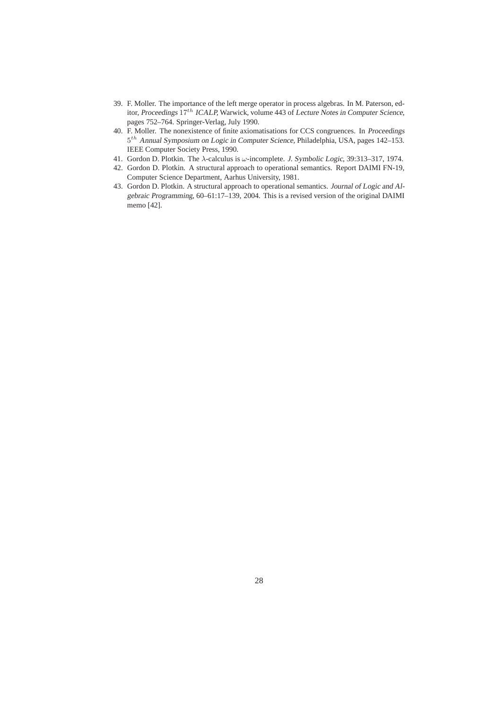- 39. F. Moller. The importance of the left merge operator in process algebras. In M. Paterson, editor, Proceedings  $17^{th}$  ICALP, Warwick, volume 443 of Lecture Notes in Computer Science, pages 752–764. Springer-Verlag, July 1990.
- 40. F. Moller. The nonexistence of finite axiomatisations for CCS congruences. In Proceedings 5th Annual Symposium on Logic in Computer Science, Philadelphia, USA, pages 142–153. IEEE Computer Society Press, 1990.
- 41. Gordon D. Plotkin. The λ-calculus is ω-incomplete. J. Symbolic Logic, 39:313–317, 1974.
- 42. Gordon D. Plotkin. A structural approach to operational semantics. Report DAIMI FN-19, Computer Science Department, Aarhus University, 1981.
- 43. Gordon D. Plotkin. A structural approach to operational semantics. Journal of Logic and Algebraic Programming, 60–61:17–139, 2004. This is a revised version of the original DAIMI memo [42].